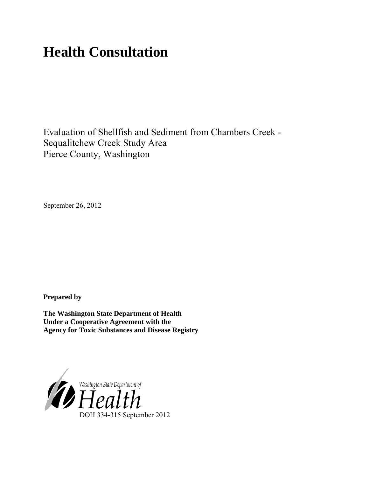# **Health Consultation**

Evaluation of Shellfish and Sediment from Chambers Creek - Sequalitchew Creek Study Area Pierce County, Washington

September 26, 2012

**Prepared by**

**The Washington State Department of Health Under a Cooperative Agreement with the Agency for Toxic Substances and Disease Registry**

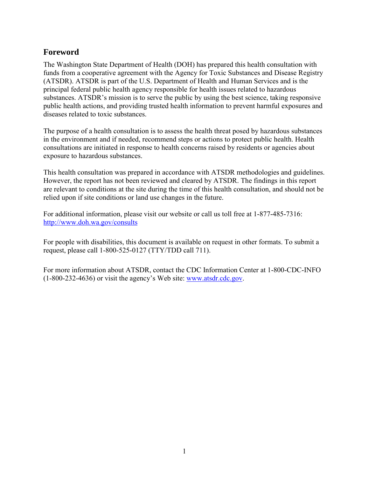## <span id="page-1-0"></span>**Foreword**

The Washington State Department of Health (DOH) has prepared this health consultation with funds from a cooperative agreement with the Agency for Toxic Substances and Disease Registry (ATSDR). ATSDR is part of the U.S. Department of Health and Human Services and is the principal federal public health agency responsible for health issues related to hazardous substances. ATSDR's mission is to serve the public by using the best science, taking responsive public health actions, and providing trusted health information to prevent harmful exposures and diseases related to toxic substances.

The purpose of a health consultation is to assess the health threat posed by hazardous substances in the environment and if needed, recommend steps or actions to protect public health. Health consultations are initiated in response to health concerns raised by residents or agencies about exposure to hazardous substances.

This health consultation was prepared in accordance with ATSDR methodologies and guidelines. However, the report has not been reviewed and cleared by ATSDR. The findings in this report are relevant to conditions at the site during the time of this health consultation, and should not be relied upon if site conditions or land use changes in the future.

For additional information, please visit our website or call us toll free at 1-877-485-7316: <http://www.doh.wa.gov/consults>

For people with disabilities, this document is available on request in other formats. To submit a request, please call 1-800-525-0127 (TTY/TDD call 711).

<span id="page-1-1"></span>For more information about ATSDR, contact the CDC Information Center at 1-800-CDC-INFO (1-800-232-4636) or visit the agency's Web site: [www.atsdr.cdc.gov.](http://www.atsdr.cdc.gov/)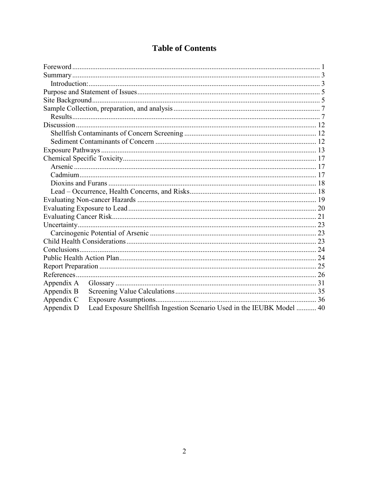| <b>Table of Contents</b> |  |
|--------------------------|--|
|--------------------------|--|

| Appendix A                                                                           |  |  |  |  |  |  |
|--------------------------------------------------------------------------------------|--|--|--|--|--|--|
| Appendix B                                                                           |  |  |  |  |  |  |
| Appendix C                                                                           |  |  |  |  |  |  |
| Lead Exposure Shellfish Ingestion Scenario Used in the IEUBK Model  40<br>Appendix D |  |  |  |  |  |  |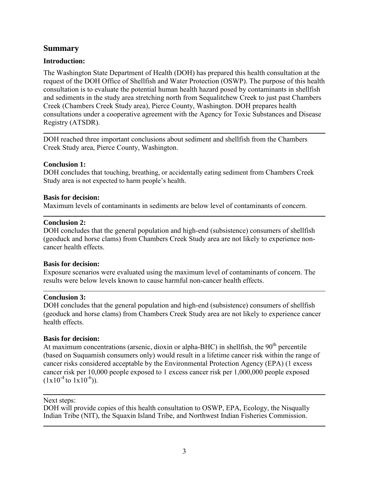#### <span id="page-3-0"></span>**Summary**

#### <span id="page-3-1"></span>**Introduction:**

The Washington State Department of Health (DOH) has prepared this health consultation at the request of the DOH Office of Shellfish and Water Protection (OSWP). The purpose of this health consultation is to evaluate the potential human health hazard posed by contaminants in shellfish and sediments in the study area stretching north from Sequalitchew Creek to just past Chambers Creek (Chambers Creek Study area), Pierce County, Washington. DOH prepares health consultations under a cooperative agreement with the Agency for Toxic Substances and Disease Registry (ATSDR).

DOH reached three important conclusions about sediment and shellfish from the Chambers Creek Study area, Pierce County, Washington.

#### **Conclusion 1:**

DOH concludes that touching, breathing, or accidentally eating sediment from Chambers Creek Study area is not expected to harm people's health.

#### **Basis for decision:**

Maximum levels of contaminants in sediments are below level of contaminants of concern.

#### **Conclusion 2:**

DOH concludes that the general population and high-end (subsistence) consumers of shellfish (geoduck and horse clams) from Chambers Creek Study area are not likely to experience noncancer health effects.

#### **Basis for decision:**

Exposure scenarios were evaluated using the maximum level of contaminants of concern. The results were below levels known to cause harmful non-cancer health effects.

#### **Conclusion 3:**

DOH concludes that the general population and high-end (subsistence) consumers of shellfish (geoduck and horse clams) from Chambers Creek Study area are not likely to experience cancer health effects.

#### **Basis for decision:**

At maximum concentrations (arsenic, dioxin or alpha-BHC) in shellfish, the  $90<sup>th</sup>$  percentile (based on Suquamish consumers only) would result in a lifetime cancer risk within the range of cancer risks considered acceptable by the Environmental Protection Agency (EPA) (1 excess cancer risk per 10,000 people exposed to 1 excess cancer risk per 1,000,000 people exposed  $(1x10^{-4}$  to  $1x10^{-6})$ ).

#### Next steps:

DOH will provide copies of this health consultation to OSWP, EPA, Ecology, the Nisqually Indian Tribe (NIT), the Squaxin Island Tribe, and Northwest Indian Fisheries Commission.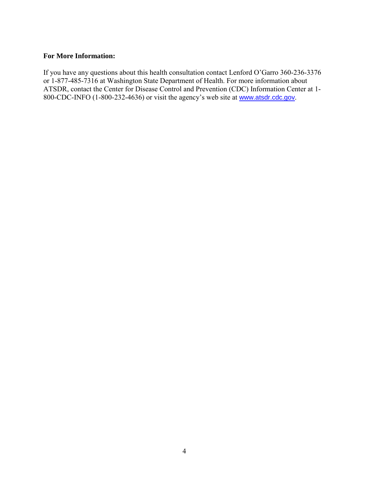#### **For More Information:**

If you have any questions about this health consultation contact Lenford O'Garro 360-236-3376 or 1-877-485-7316 at Washington State Department of Health. For more information about ATSDR, contact the Center for Disease Control and Prevention (CDC) Information Center at 1- 800-CDC-INFO (1-800-232-4636) or visit the agency's web site at [www.atsdr.cdc.gov](http://www.atsdr.cdc.gov/).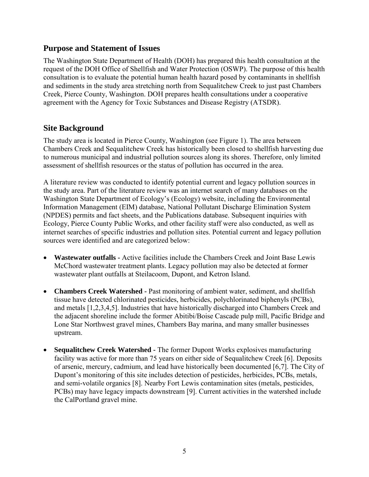#### <span id="page-5-0"></span>**Purpose and Statement of Issues**

The Washington State Department of Health (DOH) has prepared this health consultation at the request of the DOH Office of Shellfish and Water Protection (OSWP). The purpose of this health consultation is to evaluate the potential human health hazard posed by contaminants in shellfish and sediments in the study area stretching north from Sequalitchew Creek to just past Chambers Creek, Pierce County, Washington. DOH prepares health consultations under a cooperative agreement with the Agency for Toxic Substances and Disease Registry (ATSDR).

## <span id="page-5-1"></span>**Site Background**

The study area is located in Pierce County, Washington (see Figure 1). The area between Chambers Creek and Sequalitchew Creek has historically been closed to shellfish harvesting due to numerous municipal and industrial pollution sources along its shores. Therefore, only limited assessment of shellfish resources or the status of pollution has occurred in the area.

A literature review was conducted to identify potential current and legacy pollution sources in the study area. Part of the literature review was an internet search of many databases on the Washington State Department of Ecology's (Ecology) website, including the Environmental Information Management (EIM) database, National Pollutant Discharge Elimination System (NPDES) permits and fact sheets, and the Publications database. Subsequent inquiries with Ecology, Pierce County Public Works, and other facility staff were also conducted, as well as internet searches of specific industries and pollution sites. Potential current and legacy pollution sources were identified and are categorized below:

- **Wastewater outfalls** Active facilities include the Chambers Creek and Joint Base Lewis McChord wastewater treatment plants. Legacy pollution may also be detected at former wastewater plant outfalls at Steilacoom, Dupont, and Ketron Island.
- **Chambers Creek Watershed** Past monitoring of ambient water, sediment, and shellfish tissue have detected chlorinated pesticides, herbicides, polychlorinated biphenyls (PCBs), and metals [1,2,3,4,5]. Industries that have historically discharged into Chambers Creek and the adjacent shoreline include the former Abitibi/Boise Cascade pulp mill, Pacific Bridge and Lone Star Northwest gravel mines, Chambers Bay marina, and many smaller businesses upstream.
- **Sequalitchew Creek Watershed** The former Dupont Works explosives manufacturing facility was active for more than 75 years on either side of Sequalitchew Creek [6]. Deposits of arsenic, mercury, cadmium, and lead have historically been documented [6,7]. The City of Dupont's monitoring of this site includes detection of pesticides, herbicides, PCBs, metals, and semi-volatile organics [8]. Nearby Fort Lewis contamination sites (metals, pesticides, PCBs) may have legacy impacts downstream [9]. Current activities in the watershed include the CalPortland gravel mine.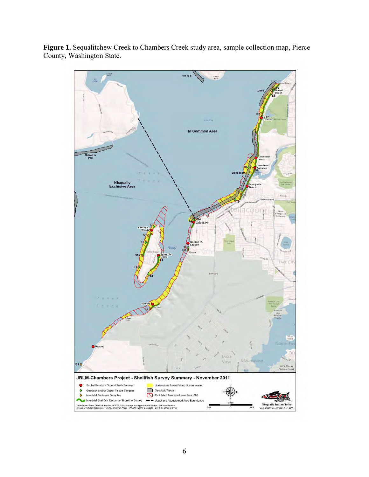

**Figure 1.** Sequalitchew Creek to Chambers Creek study area, sample collection map, Pierce County, Washington State.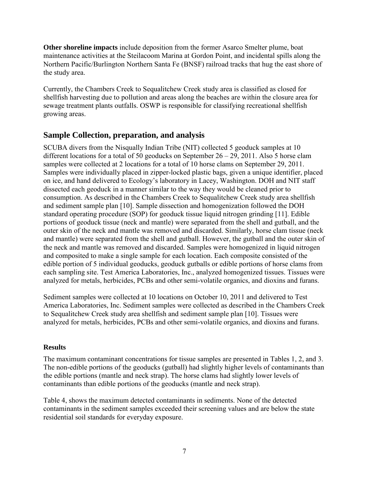**Other shoreline impacts** include deposition from the former Asarco Smelter plume, boat maintenance activities at the Steilacoom Marina at Gordon Point, and incidental spills along the Northern Pacific/Burlington Northern Santa Fe (BNSF) railroad tracks that hug the east shore of the study area.

Currently, the Chambers Creek to Sequalitchew Creek study area is classified as closed for shellfish harvesting due to pollution and areas along the beaches are within the closure area for sewage treatment plants outfalls. OSWP is responsible for classifying recreational shellfish growing areas.

## <span id="page-7-0"></span>**Sample Collection, preparation, and analysis**

SCUBA divers from the Nisqually Indian Tribe (NIT) collected 5 geoduck samples at 10 different locations for a total of 50 geoducks on September  $26 - 29$ , 2011. Also 5 horse clam samples were collected at 2 locations for a total of 10 horse clams on September 29, 2011. Samples were individually placed in zipper-locked plastic bags, given a unique identifier, placed on ice, and hand delivered to Ecology's laboratory in Lacey, Washington. DOH and NIT staff dissected each geoduck in a manner similar to the way they would be cleaned prior to consumption. As described in the Chambers Creek to Sequalitchew Creek study area shellfish and sediment sample plan [10]. Sample dissection and homogenization followed the DOH standard operating procedure (SOP) for geoduck tissue liquid nitrogen grinding [11]. Edible portions of geoduck tissue (neck and mantle) were separated from the shell and gutball, and the outer skin of the neck and mantle was removed and discarded. Similarly, horse clam tissue (neck and mantle) were separated from the shell and gutball. However, the gutball and the outer skin of the neck and mantle was removed and discarded. Samples were homogenized in liquid nitrogen and composited to make a single sample for each location. Each composite consisted of the edible portion of 5 individual geoducks, geoduck gutballs or edible portions of horse clams from each sampling site. Test America Laboratories, Inc., analyzed homogenized tissues. Tissues were analyzed for metals, herbicides, PCBs and other semi-volatile organics, and dioxins and furans.

Sediment samples were collected at 10 locations on October 10, 2011 and delivered to Test America Laboratories, Inc. Sediment samples were collected as described in the Chambers Creek to Sequalitchew Creek study area shellfish and sediment sample plan [10]. Tissues were analyzed for metals, herbicides, PCBs and other semi-volatile organics, and dioxins and furans.

#### <span id="page-7-1"></span>**Results**

The maximum contaminant concentrations for tissue samples are presented in Tables 1, 2, and 3. The non-edible portions of the geoducks (gutball) had slightly higher levels of contaminants than the edible portions (mantle and neck strap). The horse clams had slightly lower levels of contaminants than edible portions of the geoducks (mantle and neck strap).

Table 4, shows the maximum detected contaminants in sediments. None of the detected contaminants in the sediment samples exceeded their screening values and are below the state residential soil standards for everyday exposure.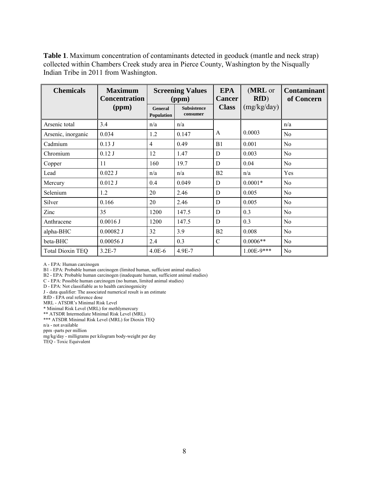**Table 1**. Maximum concentration of contaminants detected in geoduck (mantle and neck strap) collected within Chambers Creek study area in Pierce County, Washington by the Nisqually Indian Tribe in 2011 from Washington.

| <b>Chemicals</b>        | <b>Maximum</b><br><b>Concentration</b> | <b>Screening Values</b><br>(ppm) |                                | <b>EPA</b><br><b>Cancer</b> | (MRL or<br>RfD) | <b>Contaminant</b><br>of Concern |
|-------------------------|----------------------------------------|----------------------------------|--------------------------------|-----------------------------|-----------------|----------------------------------|
|                         | (ppm)                                  | General<br><b>Population</b>     | <b>Subsistence</b><br>consumer | <b>Class</b>                | (mg/kg/day)     |                                  |
| Arsenic total           | 3.4                                    | n/a                              | n/a                            |                             |                 | n/a                              |
| Arsenic, inorganic      | 0.034                                  | 1.2                              | 0.147                          | A                           | 0.0003          | N <sub>0</sub>                   |
| Cadmium                 | 0.13J                                  | $\overline{4}$                   | 0.49                           | B1                          | 0.001           | No                               |
| Chromium                | 0.12J                                  | 12                               | 1.47                           | D                           | 0.003           | N <sub>0</sub>                   |
| Copper                  | 11                                     | 160                              | 19.7                           | D                           | 0.04            | No                               |
| Lead                    | $0.022$ J                              | n/a                              | n/a                            | B <sub>2</sub>              | n/a             | Yes                              |
| Mercury                 | $0.012$ J                              | 0.4                              | 0.049                          | D                           | $0.0001*$       | No                               |
| Selenium                | 1.2                                    | 20                               | 2.46                           | D                           | 0.005           | No                               |
| Silver                  | 0.166                                  | 20                               | 2.46                           | D                           | 0.005           | N <sub>0</sub>                   |
| Zinc                    | 35                                     | 1200                             | 147.5                          | D                           | 0.3             | N <sub>0</sub>                   |
| Anthracene              | 0.0016J                                | 1200                             | 147.5                          | D                           | 0.3             | N <sub>0</sub>                   |
| alpha-BHC               | $0.00082$ J                            | 32                               | 3.9                            | B2                          | 0.008           | N <sub>o</sub>                   |
| beta-BHC                | $0.00056$ J                            | 2.4                              | 0.3                            | $\mathcal{C}$               | $0.0006**$      | No                               |
| <b>Total Dioxin TEQ</b> | $3.2E - 7$                             | $4.0E-6$                         | 4.9E-7                         |                             | $1.00E-9***$    | No                               |

A - EPA: Human carcinogen

B1 - EPA: Probable human carcinogen (limited human, sufficient animal studies)

B2 - EPA: Probable human carcinogen (inadequate human, sufficient animal studies)

C - EPA: Possible human carcinogen (no human, limited animal studies)

D - EPA: Not classifiable as to health carcinogenicity

J - data qualifier: The associated numerical result is an estimate

RfD - EPA oral reference dose

MRL - ATSDR's Minimal Risk Level

\* Minimal Risk Level (MRL) for methlymercury

\*\* ATSDR Intermediate Minimal Risk Level (MRL)

\*\*\* ATSDR Minimal Risk Level (MRL) for Dioxin TEQ

n/a - not available

ppm -parts per million

mg/kg/day - milligrams per kilogram body-weight per day

TEQ - Toxic Equivalent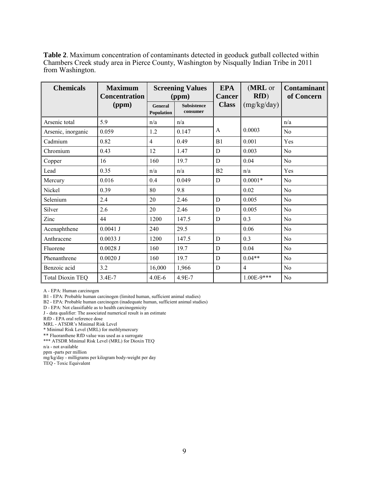**Table 2**. Maximum concentration of contaminants detected in geoduck gutball collected within Chambers Creek study area in Pierce County, Washington by Nisqually Indian Tribe in 2011 from Washington.

| <b>Chemicals</b>        | <b>Maximum</b><br><b>Concentration</b> | <b>Screening Values</b><br>(ppm)    |                                | <b>EPA</b><br><b>Cancer</b> | (MRL or<br>RfD) | <b>Contaminant</b><br>of Concern |
|-------------------------|----------------------------------------|-------------------------------------|--------------------------------|-----------------------------|-----------------|----------------------------------|
|                         | (ppm)                                  | <b>General</b><br><b>Population</b> | <b>Subsistence</b><br>consumer | <b>Class</b>                | (mg/kg/day)     |                                  |
| Arsenic total           | 5.9                                    | n/a                                 | n/a                            |                             |                 | n/a                              |
| Arsenic, inorganic      | 0.059                                  | 1.2                                 | 0.147                          | A                           | 0.0003          | N <sub>0</sub>                   |
| Cadmium                 | 0.82                                   | $\overline{4}$                      | 0.49                           | B1                          | 0.001           | Yes                              |
| Chromium                | 0.43                                   | 12                                  | 1.47                           | D                           | 0.003           | N <sub>0</sub>                   |
| Copper                  | 16                                     | 160                                 | 19.7                           | D                           | 0.04            | N <sub>0</sub>                   |
| Lead                    | 0.35                                   | n/a                                 | n/a                            | B <sub>2</sub>              | n/a             | Yes                              |
| Mercury                 | 0.016                                  | 0.4                                 | 0.049                          | D                           | $0.0001*$       | No                               |
| Nickel                  | 0.39                                   | 80                                  | 9.8                            |                             | 0.02            | N <sub>0</sub>                   |
| Selenium                | 2.4                                    | 20                                  | 2.46                           | $\mathbf D$                 | 0.005           | N <sub>0</sub>                   |
| Silver                  | 2.6                                    | 20                                  | 2.46                           | D                           | 0.005           | N <sub>0</sub>                   |
| Zinc                    | 44                                     | 1200                                | 147.5                          | D                           | 0.3             | N <sub>0</sub>                   |
| Acenaphthene            | $0.0041$ J                             | 240                                 | 29.5                           |                             | 0.06            | N <sub>0</sub>                   |
| Anthracene              | 0.0033J                                | 1200                                | 147.5                          | D                           | 0.3             | N <sub>0</sub>                   |
| Fluorene                | $0.0028$ J                             | 160                                 | 19.7                           | D                           | 0.04            | N <sub>0</sub>                   |
| Phenanthrene            | 0.0020J                                | 160                                 | 19.7                           | D                           | $0.04**$        | N <sub>0</sub>                   |
| Benzoic acid            | 3.2                                    | 16,000                              | 1,966                          | D                           | $\overline{4}$  | N <sub>0</sub>                   |
| <b>Total Dioxin TEQ</b> | $3.4E - 7$                             | $4.0E-6$                            | 4.9E-7                         |                             | $1.00E-9***$    | N <sub>0</sub>                   |

A - EPA: Human carcinogen

B1 - EPA: Probable human carcinogen (limited human, sufficient animal studies)

B2 - EPA: Probable human carcinogen (inadequate human, sufficient animal studies)

D - EPA: Not classifiable as to health carcinogenicity

J - data qualifier: The associated numerical result is an estimate

RfD - EPA oral reference dose

MRL - ATSDR's Minimal Risk Level

\* Minimal Risk Level (MRL) for methlymercury

\*\* Fluoranthene RfD value was used as a surrogate

\*\*\* ATSDR Minimal Risk Level (MRL) for Dioxin TEQ

n/a - not available

ppm -parts per million

mg/kg/day - milligrams per kilogram body-weight per day

TEQ - Toxic Equivalent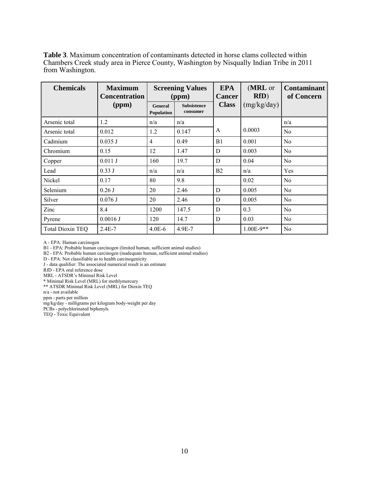**Table 3**. Maximum concentration of contaminants detected in horse clams collected within Chambers Creek study area in Pierce County, Washington by Nisqually Indian Tribe in 2011 from Washington.

| <b>Chemicals</b>        | <b>Maximum</b><br><b>Concentration</b> |                       | <b>Screening Values</b><br>(ppm) | <b>EPA</b><br><b>Cancer</b> | (MRL or<br>RfD) | <b>Contaminant</b><br>of Concern |
|-------------------------|----------------------------------------|-----------------------|----------------------------------|-----------------------------|-----------------|----------------------------------|
|                         | (ppm)                                  | General<br>Population | <b>Subsistence</b><br>consumer   | <b>Class</b>                | (mg/kg/day)     |                                  |
| Arsenic total           | 1.2                                    | n/a                   | n/a                              |                             |                 | n/a                              |
| Arsenic total           | 0.012                                  | 1.2                   | 0.147                            | A                           | 0.0003          | N <sub>0</sub>                   |
| Cadmium                 | 0.035 J                                | 4                     | 0.49                             | B <sub>1</sub>              | 0.001           | No                               |
| Chromium                | 0.15                                   | 12                    | 1.47                             | D                           | 0.003           | N <sub>0</sub>                   |
| Copper                  | $0.011$ J                              | 160                   | 19.7                             | D                           | 0.04            | N <sub>0</sub>                   |
| Lead                    | 0.33J                                  | n/a                   | n/a                              | B <sub>2</sub>              | n/a             | Yes                              |
| Nickel                  | 0.17                                   | 80                    | 9.8                              |                             | 0.02            | No                               |
| Selenium                | $0.26$ J                               | 20                    | 2.46                             | D                           | 0.005           | No                               |
| Silver                  | $0.076$ J                              | 20                    | 2.46                             | D                           | 0.005           | N <sub>0</sub>                   |
| Zinc                    | 8.4                                    | 1200                  | 147.5                            | D                           | 0.3             | No                               |
| Pyrene                  | 0.0016J                                | 120                   | 14.7                             | D                           | 0.03            | No                               |
| <b>Total Dioxin TEQ</b> | $2.4E - 7$                             | $4.0E-6$              | $4.9E - 7$                       |                             | $1.00E-9**$     | No                               |

A - EPA: Human carcinogen

B1 - EPA: Probable human carcinogen (limited human, sufficient animal studies)

B2 - EPA: Probable human carcinogen (inadequate human, sufficient animal studies)

D - EPA: Not classifiable as to health carcinogenicity

J - data qualifier: The associated numerical result is an estimate

RfD - EPA oral reference dose

MRL - ATSDR's Minimal Risk Level

\* Minimal Risk Level (MRL) for methlymercury

\*\* ATSDR Minimal Risk Level (MRL) for Dioxin TEQ

n/a - not available

ppm - parts per million

mg/kg/day - milligrams per kilogram body-weight per day

PCBs - polychlorinated biphenyls TEQ - Toxic Equivalent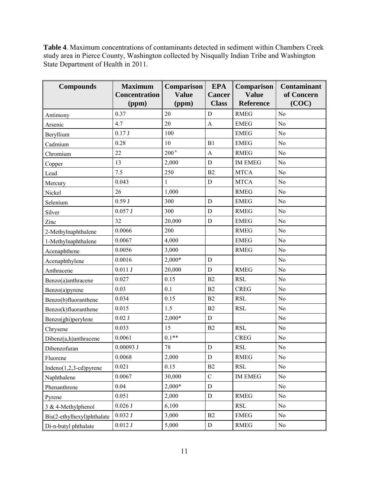**Table 4**. Maximum concentrations of contaminants detected in sediment within Chambers Creek study area in Pierce County, Washington collected by Nisqually Indian Tribe and Washington State Department of Health in 2011.

| <b>Compounds</b>           | <b>Maximum</b>                | Comparison<br><b>Value</b> | <b>EPA</b>                    | Comparison<br><b>Value</b> | <b>Contaminant</b>  |
|----------------------------|-------------------------------|----------------------------|-------------------------------|----------------------------|---------------------|
|                            | <b>Concentration</b><br>(ppm) | (ppm)                      | <b>Cancer</b><br><b>Class</b> | <b>Reference</b>           | of Concern<br>(COC) |
| Antimony                   | 0.37                          | 20                         | D                             | <b>RMEG</b>                | N <sub>o</sub>      |
| Arsenic                    | 4.7                           | 20                         | A                             | <b>EMEG</b>                | No                  |
| Beryllium                  | 0.17J                         | 100                        |                               | <b>EMEG</b>                | N <sub>o</sub>      |
| Cadmium                    | 0.28                          | 10                         | B1                            | <b>EMEG</b>                | N <sub>o</sub>      |
| Chromium                   | 22                            | 200 <sup>a</sup>           | $\mathbf{A}$                  | <b>RMEG</b>                | N <sub>o</sub>      |
| Copper                     | 13                            | 2,000                      | D                             | <b>IM EMEG</b>             | N <sub>o</sub>      |
| Lead                       | 7.5                           | 250                        | B2                            | <b>MTCA</b>                | N <sub>0</sub>      |
| Mercury                    | 0.043                         | $\mathbf{1}$               | $\mathbf D$                   | <b>MTCA</b>                | No                  |
| Nickel                     | 26                            | 1,000                      |                               | <b>RMEG</b>                | N <sub>o</sub>      |
| Selenium                   | 0.59J                         | 300                        | $\mathbf D$                   | <b>EMEG</b>                | N <sub>0</sub>      |
| Silver                     | 0.057J                        | 300                        | D                             | <b>RMEG</b>                | N <sub>o</sub>      |
| Zinc                       | 32                            | 20,000                     | $\mathbf D$                   | <b>EMEG</b>                | No                  |
| 2-Methylnaphthalene        | 0.0066                        | 200                        |                               | <b>RMEG</b>                | No                  |
| 1-Methylnaphthalene        | 0.0067                        | 4,000                      |                               | <b>EMEG</b>                | N <sub>o</sub>      |
| Acenaphthene               | 0.0056                        | 3,000                      |                               | <b>RMEG</b>                | No                  |
| Acenaphthylene             | 0.0016                        | $2,000*$                   | $\mathbf D$                   |                            | No                  |
| Anthracene                 | $0.011$ J                     | 20,000                     | D                             | <b>RMEG</b>                | N <sub>o</sub>      |
| Benzo(a)anthracene         | 0.027                         | 0.15                       | B2                            | <b>RSL</b>                 | N <sub>o</sub>      |
| Benzo(a)pyrene             | 0.03                          | 0.1                        | B2                            | <b>CREG</b>                | N <sub>o</sub>      |
| Benzo(b)fluoranthene       | 0.034                         | 0.15                       | B2                            | <b>RSL</b>                 | N <sub>0</sub>      |
| Benzo(k)fluoranthene       | 0.015                         | 1.5                        | B2                            | <b>RSL</b>                 | No                  |
| Benzo(ghi)perylene         | $0.02$ J                      | $2,000*$                   | D                             |                            | N <sub>o</sub>      |
| Chrysene                   | 0.033                         | 15                         | B2                            | <b>RSL</b>                 | No                  |
| Dibenz(a,h)anthracene      | 0.0061                        | $0.1**$                    |                               | <b>CREG</b>                | N <sub>o</sub>      |
| Dibenzofuran               | $0.00093$ J                   | 78                         | $\mathbf D$                   | <b>RSL</b>                 | N <sub>0</sub>      |
| Fluorene                   | 0.0068                        | 2,000                      | $\mathbf D$                   | <b>RMEG</b>                | No                  |
| Indeno $(1,2,3$ -cd)pyrene | 0.021                         | 0.15                       | B2                            | <b>RSL</b>                 | No                  |
| Naphthalene                | 0.0067                        | 30,000                     | $\mathbf C$                   | <b>IM EMEG</b>             | No                  |
| Phenanthrene               | 0.04                          | $2,000*$                   | ${\bf D}$                     |                            | No                  |
| Pyrene                     | 0.051                         | 2,000                      | $\mathbf D$                   | <b>RMEG</b>                | No                  |
| 3 & 4-Methylphenol         | $0.026$ J                     | 6,100                      |                               | <b>RSL</b>                 | No                  |
| Bis(2-ethylhexyl)phthalate | $0.032\:\rm J$                | 3,000                      | $\rm B2$                      | <b>EMEG</b>                | No                  |
| Di-n-butyl phthalate       | $0.012$ J                     | 5,000                      | ${\rm D}$                     | <b>RMEG</b>                | No                  |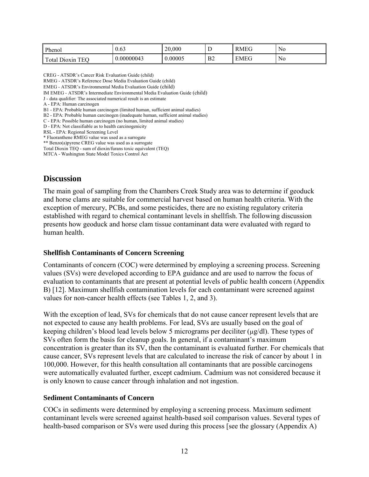| Phenol                                                           | 0.63       | 20,000  | ∸                    | <b>RMEG</b> | $\mathbf{r}$<br>N0 |
|------------------------------------------------------------------|------------|---------|----------------------|-------------|--------------------|
| $\mathbf{r}$<br>TEC<br>$\cdot$ $\mathbf{r}$ .<br>`otal<br>Dioxin | 0.00000043 | 0.00005 | B <sub>2</sub><br>-- | <b>EMEG</b> | $\mathbf{r}$<br>N0 |

CREG - ATSDR's Cancer Risk Evaluation Guide (child)

RMEG - ATSDR's Reference Dose Media Evaluation Guide (child)

EMEG - ATSDR's Environmental Media Evaluation Guide (child)

IM EMEG - ATSDR's Intermediate Environmental Media Evaluation Guide (child)

J - data qualifier: The associated numerical result is an estimate

A - EPA: Human carcinogen

B1 - EPA: Probable human carcinogen (limited human, sufficient animal studies)

B2 - EPA: Probable human carcinogen (inadequate human, sufficient animal studies)

C - EPA: Possible human carcinogen (no human, limited animal studies)

D - EPA: Not classifiable as to health carcinogenicity

RSL - EPA: Regional Screening Level

\* Fluoranthene RMEG value was used as a surrogate

\*\* Benzo(a)pyrene CREG value was used as a surrogate Total Dioxin TEQ - sum of dioxin/furans toxic equivalent (TEQ)

MTCA - Washington State Model Toxics Control Act

#### <span id="page-12-0"></span>**Discussion**

The main goal of sampling from the Chambers Creek Study area was to determine if geoduck and horse clams are suitable for commercial harvest based on human health criteria. With the exception of mercury, PCBs, and some pesticides, there are no existing regulatory criteria established with regard to chemical contaminant levels in shellfish. The following discussion presents how geoduck and horse clam tissue contaminant data were evaluated with regard to human health.

#### <span id="page-12-1"></span>**Shellfish Contaminants of Concern Screening**

Contaminants of concern (COC) were determined by employing a screening process. Screening values (SVs) were developed according to EPA guidance and are used to narrow the focus of evaluation to contaminants that are present at potential levels of public health concern (Appendix B) [12]. Maximum shellfish contamination levels for each contaminant were screened against values for non-cancer health effects (see Tables 1, 2, and 3).

With the exception of lead, SVs for chemicals that do not cause cancer represent levels that are not expected to cause any health problems. For lead, SVs are usually based on the goal of keeping children's blood lead levels below 5 micrograms per deciliter ( $\mu$ g/dl). These types of SVs often form the basis for cleanup goals. In general, if a contaminant's maximum concentration is greater than its SV, then the contaminant is evaluated further. For chemicals that cause cancer, SVs represent levels that are calculated to increase the risk of cancer by about 1 in 100,000. However, for this health consultation all contaminants that are possible carcinogens were automatically evaluated further, except cadmium. Cadmium was not considered because it is only known to cause cancer through inhalation and not ingestion.

#### <span id="page-12-2"></span>**Sediment Contaminants of Concern**

COCs in sediments were determined by employing a screening process. Maximum sediment contaminant levels were screened against health-based soil comparison values. Several types of health-based comparison or SVs were used during this process [see the glossary (Appendix A)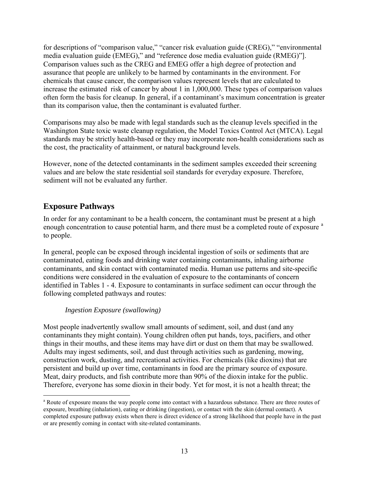for descriptions of "comparison value," "cancer risk evaluation guide (CREG)," "environmental media evaluation guide (EMEG)," and "reference dose media evaluation guide (RMEG)"]. Comparison values such as the CREG and EMEG offer a high degree of protection and assurance that people are unlikely to be harmed by contaminants in the environment. For chemicals that cause cancer, the comparison values represent levels that are calculated to increase the estimated risk of cancer by about 1 in 1,000,000. These types of comparison values often form the basis for cleanup. In general, if a contaminant's maximum concentration is greater than its comparison value, then the contaminant is evaluated further.

Comparisons may also be made with legal standards such as the cleanup levels specified in the Washington State toxic waste cleanup regulation, the Model Toxics Control Act (MTCA). Legal standards may be strictly health-based or they may incorporate non-health considerations such as the cost, the practicality of attainment, or natural background levels.

However, none of the detected contaminants in the sediment samples exceeded their screening values and are below the state residential soil standards for everyday exposure. Therefore, sediment will not be evaluated any further.

## <span id="page-13-0"></span>**Exposure Pathways**

In order for any contaminant to be a health concern, the contaminant must be present at a high enough concentr[a](#page-1-1)tion to cause potential harm, and there must be a completed route of exposure <sup>a</sup> to people.

In general, people can be exposed through incidental ingestion of soils or sediments that are contaminated, eating foods and drinking water containing contaminants, inhaling airborne contaminants, and skin contact with contaminated media. Human use patterns and site-specific conditions were considered in the evaluation of exposure to the contaminants of concern identified in Tables 1 - 4. Exposure to contaminants in surface sediment can occur through the following completed pathways and routes:

#### *Ingestion Exposure (swallowing)*

Most people inadvertently swallow small amounts of sediment, soil, and dust (and any contaminants they might contain). Young children often put hands, toys, pacifiers, and other things in their mouths, and these items may have dirt or dust on them that may be swallowed. Adults may ingest sediments, soil, and dust through activities such as gardening, mowing, construction work, dusting, and recreational activities. For chemicals (like dioxins) that are persistent and build up over time, contaminants in food are the primary source of exposure. Meat, dairy products, and fish contribute more than 90% of the dioxin intake for the public. Therefore, everyone has some dioxin in their body. Yet for most, it is not a health threat; the

 $\overline{a}$ <sup>a</sup> Route of exposure means the way people come into contact with a hazardous substance. There are three routes of exposure, breathing (inhalation), eating or drinking (ingestion), or contact with the skin (dermal contact). A completed exposure pathway exists when there is direct evidence of a strong likelihood that people have in the past or are presently coming in contact with site-related contaminants.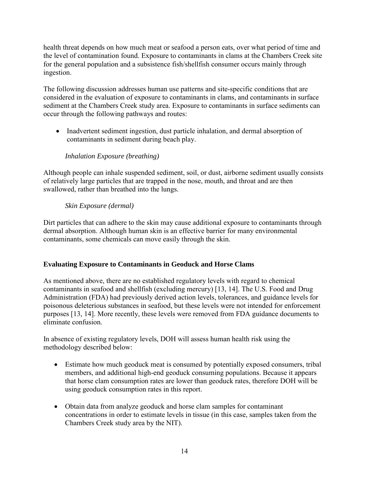health threat depends on how much meat or seafood a person eats, over what period of time and the level of contamination found. Exposure to contaminants in clams at the Chambers Creek site for the general population and a subsistence fish/shellfish consumer occurs mainly through ingestion.

The following discussion addresses human use patterns and site-specific conditions that are considered in the evaluation of exposure to contaminants in clams, and contaminants in surface sediment at the Chambers Creek study area. Exposure to contaminants in surface sediments can occur through the following pathways and routes:

• Inadvertent sediment ingestion, dust particle inhalation, and dermal absorption of contaminants in sediment during beach play.

#### *Inhalation Exposure (breathing)*

Although people can inhale suspended sediment, soil, or dust, airborne sediment usually consists of relatively large particles that are trapped in the nose, mouth, and throat and are then swallowed, rather than breathed into the lungs.

#### *Skin Exposure (dermal)*

Dirt particles that can adhere to the skin may cause additional exposure to contaminants through dermal absorption. Although human skin is an effective barrier for many environmental contaminants, some chemicals can move easily through the skin.

#### **Evaluating Exposure to Contaminants in Geoduck and Horse Clams**

As mentioned above, there are no established regulatory levels with regard to chemical contaminants in seafood and shellfish (excluding mercury) [13, 14]. The U.S. Food and Drug Administration (FDA) had previously derived action levels, tolerances, and guidance levels for poisonous deleterious substances in seafood, but these levels were not intended for enforcement purposes [13, 14]. More recently, these levels were removed from FDA guidance documents to eliminate confusion.

In absence of existing regulatory levels, DOH will assess human health risk using the methodology described below:

- Estimate how much geoduck meat is consumed by potentially exposed consumers, tribal members, and additional high-end geoduck consuming populations. Because it appears that horse clam consumption rates are lower than geoduck rates, therefore DOH will be using geoduck consumption rates in this report.
- Obtain data from analyze geoduck and horse clam samples for contaminant concentrations in order to estimate levels in tissue (in this case, samples taken from the Chambers Creek study area by the NIT).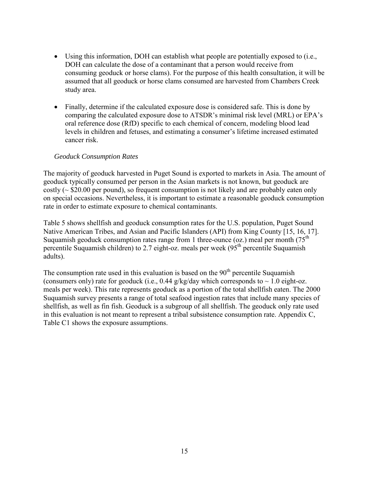- Using this information, DOH can establish what people are potentially exposed to (i.e., DOH can calculate the dose of a contaminant that a person would receive from consuming geoduck or horse clams). For the purpose of this health consultation, it will be assumed that all geoduck or horse clams consumed are harvested from Chambers Creek study area.
- Finally, determine if the calculated exposure dose is considered safe. This is done by comparing the calculated exposure dose to ATSDR's minimal risk level (MRL) or EPA's oral reference dose (RfD) specific to each chemical of concern, modeling blood lead levels in children and fetuses, and estimating a consumer's lifetime increased estimated cancer risk.

#### *Geoduck Consumption Rates*

The majority of geoduck harvested in Puget Sound is exported to markets in Asia. The amount of geoduck typically consumed per person in the Asian markets is not known, but geoduck are costly ( $\sim$  \$20.00 per pound), so frequent consumption is not likely and are probably eaten only on special occasions. Nevertheless, it is important to estimate a reasonable geoduck consumption rate in order to estimate exposure to chemical contaminants.

Table 5 shows shellfish and geoduck consumption rates for the U.S. population, Puget Sound Native American Tribes, and Asian and Pacific Islanders (API) from King County [15, 16, 17]. Suquamish geoduck consumption rates range from 1 three-ounce (oz.) meal per month ( $75<sup>th</sup>$ percentile Suquamish children) to 2.7 eight-oz. meals per week  $(95<sup>th</sup>$  percentile Suquamish adults).

The consumption rate used in this evaluation is based on the  $90<sup>th</sup>$  percentile Suquamish (consumers only) rate for geoduck (i.e., 0.44 g/kg/day which corresponds to  $\sim 1.0$  eight-oz. meals per week). This rate represents geoduck as a portion of the total shellfish eaten. The 2000 Suquamish survey presents a range of total seafood ingestion rates that include many species of shellfish, as well as fin fish. Geoduck is a subgroup of all shellfish. The geoduck only rate used in this evaluation is not meant to represent a tribal subsistence consumption rate. Appendix C, Table C1 shows the exposure assumptions.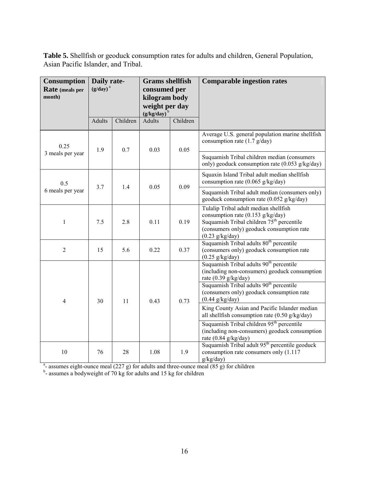**Table 5.** Shellfish or geoduck consumption rates for adults and children, General Population, Asian Pacific Islander, and Tribal.

| <b>Consumption</b><br>Rate (meals per<br>month) | Daily rate-<br>$(g/day)^a$ |          | <b>Grams</b> shellfish<br>consumed per<br>kilogram body<br>weight per day |          | $(g/kg/day)^b$                                                                                                                                                                                                |  | <b>Comparable ingestion rates</b> |
|-------------------------------------------------|----------------------------|----------|---------------------------------------------------------------------------|----------|---------------------------------------------------------------------------------------------------------------------------------------------------------------------------------------------------------------|--|-----------------------------------|
|                                                 | <b>Adults</b>              | Children | <b>Adults</b>                                                             | Children |                                                                                                                                                                                                               |  |                                   |
| 0.25                                            | 1.9                        | 0.7      | 0.03                                                                      | 0.05     | Average U.S. general population marine shellfish<br>consumption rate $(1.7 \text{ g/day})$                                                                                                                    |  |                                   |
| 3 meals per year                                |                            |          |                                                                           |          | Suquamish Tribal children median (consumers<br>only) geoduck consumption rate (0.053 g/kg/day)                                                                                                                |  |                                   |
| 0.5                                             | 3.7                        | 1.4      | 0.05                                                                      | 0.09     | Squaxin Island Tribal adult median shellfish<br>consumption rate $(0.065 \text{ g/kg/day})$                                                                                                                   |  |                                   |
| 6 meals per year                                |                            |          |                                                                           |          | Suquamish Tribal adult median (consumers only)<br>geoduck consumption rate (0.052 g/kg/day)                                                                                                                   |  |                                   |
| $\mathbf{1}$                                    | 7.5                        | 2.8      | 0.11                                                                      | 0.19     | Tulalip Tribal adult median shellfish<br>consumption rate (0.153 g/kg/day)<br>Suquamish Tribal children 75 <sup>th</sup> percentile<br>(consumers only) geoduck consumption rate<br>$(0.23 \text{ g/kg/day})$ |  |                                   |
| $\overline{2}$                                  | 15                         | 5.6      | 0.22                                                                      | 0.37     | Suquamish Tribal adults 80 <sup>th</sup> percentile<br>(consumers only) geoduck consumption rate<br>$(0.25 \text{ g/kg/day})$                                                                                 |  |                                   |
|                                                 |                            |          |                                                                           |          | Suquamish Tribal adults 90 <sup>th</sup> percentile<br>(including non-consumers) geoduck consumption<br>rate $(0.39 \text{ g/kg/day})$<br>Suquamish Tribal adults 90 <sup>th</sup> percentile                 |  |                                   |
| $\overline{4}$                                  | 30                         | 11       | 0.43                                                                      | 0.73     | (consumers only) geoduck consumption rate<br>$(0.44 \text{ g/kg/day})$                                                                                                                                        |  |                                   |
|                                                 |                            |          |                                                                           |          | King County Asian and Pacific Islander median<br>all shellfish consumption rate $(0.50 \text{ g/kg/day})$                                                                                                     |  |                                   |
|                                                 |                            |          |                                                                           |          | Suquamish Tribal children 95 <sup>th</sup> percentile<br>(including non-consumers) geoduck consumption<br>rate $(0.84 \text{ g/kg/day})$                                                                      |  |                                   |
| 10                                              | 76                         | 28       | 1.08                                                                      | 1.9      | Suquamish Tribal adult 95 <sup>th</sup> percentile geoduck<br>consumption rate consumers only (1.117<br>g/kg/day)                                                                                             |  |                                   |

<sup>a</sup>-assumes eight-ounce meal (227 g) for adults and three-ounce meal (85 g) for children <sup>b</sup>-assumes a bodyweight of 70 kg for adults and 15 kg for children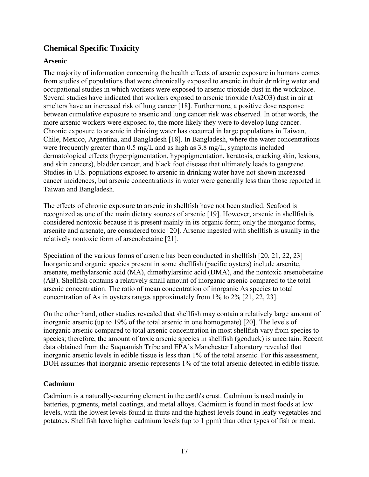## <span id="page-17-0"></span>**Chemical Specific Toxicity**

#### <span id="page-17-1"></span>**Arsenic**

The majority of information concerning the health effects of arsenic exposure in humans comes from studies of populations that were chronically exposed to arsenic in their drinking water and occupational studies in which workers were exposed to arsenic trioxide dust in the workplace. Several studies have indicated that workers exposed to arsenic trioxide (As2O3) dust in air at smelters have an increased risk of lung cancer [18]. Furthermore, a positive dose response between cumulative exposure to arsenic and lung cancer risk was observed. In other words, the more arsenic workers were exposed to, the more likely they were to develop lung cancer. Chronic exposure to arsenic in drinking water has occurred in large populations in Taiwan, Chile, Mexico, Argentina, and Bangladesh [18]. In Bangladesh, where the water concentrations were frequently greater than 0.5 mg/L and as high as 3.8 mg/L, symptoms included dermatological effects (hyperpigmentation, hypopigmentation, keratosis, cracking skin, lesions, and skin cancers), bladder cancer, and black foot disease that ultimately leads to gangrene. Studies in U.S. populations exposed to arsenic in drinking water have not shown increased cancer incidences, but arsenic concentrations in water were generally less than those reported in Taiwan and Bangladesh.

The effects of chronic exposure to arsenic in shellfish have not been studied. Seafood is recognized as one of the main dietary sources of arsenic [19]. However, arsenic in shellfish is considered nontoxic because it is present mainly in its organic form; only the inorganic forms, arsenite and arsenate, are considered toxic [20]. Arsenic ingested with shellfish is usually in the relatively nontoxic form of arsenobetaine [21].

Speciation of the various forms of arsenic has been conducted in shellfish [20, 21, 22, 23] Inorganic and organic species present in some shellfish (pacific oysters) include arsenite, arsenate, methylarsonic acid (MA), dimethylarsinic acid (DMA), and the nontoxic arsenobetaine (AB). Shellfish contains a relatively small amount of inorganic arsenic compared to the total arsenic concentration. The ratio of mean concentration of inorganic As species to total concentration of As in oysters ranges approximately from 1% to 2% [21, 22, 23].

On the other hand, other studies revealed that shellfish may contain a relatively large amount of inorganic arsenic (up to 19% of the total arsenic in one homogenate) [20]. The levels of inorganic arsenic compared to total arsenic concentration in most shellfish vary from species to species; therefore, the amount of toxic arsenic species in shellfish (geoduck) is uncertain. Recent data obtained from the Suquamish Tribe and EPA's Manchester Laboratory revealed that inorganic arsenic levels in edible tissue is less than 1% of the total arsenic. For this assessment, DOH assumes that inorganic arsenic represents 1% of the total arsenic detected in edible tissue.

#### <span id="page-17-2"></span>**Cadmium**

Cadmium is a naturally-occurring element in the earth's crust. Cadmium is used mainly in batteries, pigments, metal coatings, and metal alloys. Cadmium is found in most foods at low levels, with the lowest levels found in fruits and the highest levels found in leafy vegetables and potatoes. Shellfish have higher cadmium levels (up to 1 ppm) than other types of fish or meat.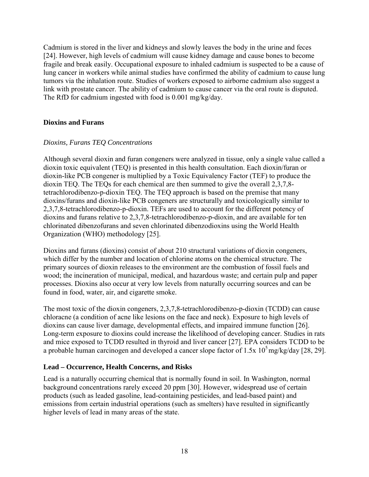Cadmium is stored in the liver and kidneys and slowly leaves the body in the urine and feces [24]. However, high levels of cadmium will cause kidney damage and cause bones to become fragile and break easily. Occupational exposure to inhaled cadmium is suspected to be a cause of lung cancer in workers while animal studies have confirmed the ability of cadmium to cause lung tumors via the inhalation route. Studies of workers exposed to airborne cadmium also suggest a link with prostate cancer. The ability of cadmium to cause cancer via the oral route is disputed. The RfD for cadmium ingested with food is 0.001 mg/kg/day.

#### <span id="page-18-0"></span>**Dioxins and Furans**

#### *Dioxins, Furans TEQ Concentrations*

Although several dioxin and furan congeners were analyzed in tissue, only a single value called a dioxin toxic equivalent (TEQ) is presented in this health consultation. Each dioxin/furan or dioxin-like PCB congener is multiplied by a Toxic Equivalency Factor (TEF) to produce the dioxin TEQ. The TEQs for each chemical are then summed to give the overall 2,3,7,8 tetrachlorodibenzo-p-dioxin TEQ. The TEQ approach is based on the premise that many dioxins/furans and dioxin-like PCB congeners are structurally and toxicologically similar to 2,3,7,8-tetrachlorodibenzo-p-dioxin. TEFs are used to account for the different potency of dioxins and furans relative to 2,3,7,8-tetrachlorodibenzo-p-dioxin, and are available for ten chlorinated dibenzofurans and seven chlorinated dibenzodioxins using the World Health Organization (WHO) methodology [25].

Dioxins and furans (dioxins) consist of about 210 structural variations of dioxin congeners, which differ by the number and location of chlorine atoms on the chemical structure. The primary sources of dioxin releases to the environment are the combustion of fossil fuels and wood; the incineration of municipal, medical, and hazardous waste; and certain pulp and paper processes. Dioxins also occur at very low levels from naturally occurring sources and can be found in food, water, air, and cigarette smoke.

The most toxic of the dioxin congeners, 2,3,7,8-tetrachlorodibenzo-p-dioxin (TCDD) can cause chloracne (a condition of acne like lesions on the face and neck). Exposure to high levels of dioxins can cause liver damage, developmental effects, and impaired immune function [26]. Long-term exposure to dioxins could increase the likelihood of developing cancer. Studies in rats and mice exposed to TCDD resulted in thyroid and liver cancer [27]. EPA considers TCDD to be a probable human carcinogen and developed a cancer slope factor of 1.5x  $10^5$  mg/kg/day [28, 29].

#### <span id="page-18-1"></span>**Lead – Occurrence, Health Concerns, and Risks**

Lead is a naturally occurring chemical that is normally found in soil. In Washington, normal background concentrations rarely exceed 20 ppm [30]. However, widespread use of certain products (such as leaded gasoline, lead-containing pesticides, and lead-based paint) and emissions from certain industrial operations (such as smelters) have resulted in significantly higher levels of lead in many areas of the state.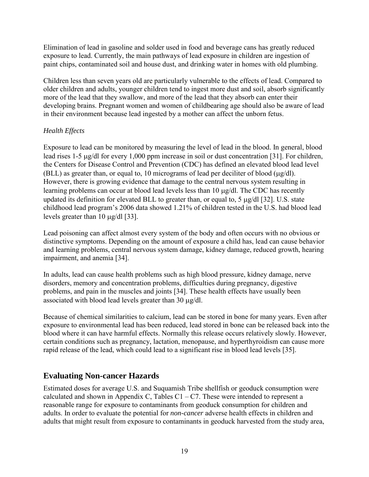Elimination of lead in gasoline and solder used in food and beverage cans has greatly reduced exposure to lead. Currently, the main pathways of lead exposure in children are ingestion of paint chips, contaminated soil and house dust, and drinking water in homes with old plumbing.

Children less than seven years old are particularly vulnerable to the effects of lead. Compared to older children and adults, younger children tend to ingest more dust and soil, absorb significantly more of the lead that they swallow, and more of the lead that they absorb can enter their developing brains. Pregnant women and women of childbearing age should also be aware of lead in their environment because lead ingested by a mother can affect the unborn fetus.

### *Health Effects*

Exposure to lead can be monitored by measuring the level of lead in the blood. In general, blood lead rises 1-5 µg/dl for every 1,000 ppm increase in soil or dust concentration [31]. For children, the Centers for Disease Control and Prevention (CDC) has defined an elevated blood lead level (BLL) as greater than, or equal to, 10 micrograms of lead per deciliter of blood (µg/dl). However, there is growing evidence that damage to the central nervous system resulting in learning problems can occur at blood lead levels less than 10 µg/dl. The CDC has recently updated its definition for elevated BLL to greater than, or equal to, 5 µg/dl [32]. U.S. state childhood lead program's 2006 data showed 1.21% of children tested in the U.S. had blood lead levels greater than 10 µg/dl [33].

Lead poisoning can affect almost every system of the body and often occurs with no obvious or distinctive symptoms. Depending on the amount of exposure a child has, lead can cause behavior and learning problems, central nervous system damage, kidney damage, reduced growth, hearing impairment, and anemia [34].

In adults, lead can cause health problems such as high blood pressure, kidney damage, nerve disorders, memory and concentration problems, difficulties during pregnancy, digestive problems, and pain in the muscles and joints [34]. These health effects have usually been associated with blood lead levels greater than 30 µg/dl.

Because of chemical similarities to calcium, lead can be stored in bone for many years. Even after exposure to environmental lead has been reduced, lead stored in bone can be released back into the blood where it can have harmful effects. Normally this release occurs relatively slowly. However, certain conditions such as pregnancy, lactation, menopause, and hyperthyroidism can cause more rapid release of the lead, which could lead to a significant rise in blood lead levels [35].

## <span id="page-19-0"></span>**Evaluating Non-cancer Hazards**

Estimated doses for average U.S. and Suquamish Tribe shellfish or geoduck consumption were calculated and shown in Appendix C, Tables  $C1 - C7$ . These were intended to represent a reasonable range for exposure to contaminants from geoduck consumption for children and adults. In order to evaluate the potential for *non-cancer* adverse health effects in children and adults that might result from exposure to contaminants in geoduck harvested from the study area,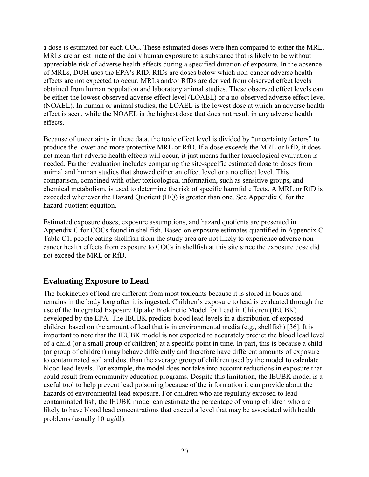a dose is estimated for each COC. These estimated doses were then compared to either the MRL. MRLs are an estimate of the daily human exposure to a substance that is likely to be without appreciable risk of adverse health effects during a specified duration of exposure. In the absence of MRLs, DOH uses the EPA's RfD. RfDs are doses below which non-cancer adverse health effects are not expected to occur. MRLs and/or RfDs are derived from observed effect levels obtained from human population and laboratory animal studies. These observed effect levels can be either the lowest-observed adverse effect level (LOAEL) or a no-observed adverse effect level (NOAEL). In human or animal studies, the LOAEL is the lowest dose at which an adverse health effect is seen, while the NOAEL is the highest dose that does not result in any adverse health effects.

Because of uncertainty in these data, the toxic effect level is divided by "uncertainty factors" to produce the lower and more protective MRL or RfD. If a dose exceeds the MRL or RfD, it does not mean that adverse health effects will occur, it just means further toxicological evaluation is needed. Further evaluation includes comparing the site-specific estimated dose to doses from animal and human studies that showed either an effect level or a no effect level. This comparison, combined with other toxicological information, such as sensitive groups, and chemical metabolism, is used to determine the risk of specific harmful effects. A MRL or RfD is exceeded whenever the Hazard Quotient (HQ) is greater than one. See Appendix C for the hazard quotient equation.

Estimated exposure doses, exposure assumptions, and hazard quotients are presented in Appendix C for COCs found in shellfish. Based on exposure estimates quantified in Appendix C Table C1, people eating shellfish from the study area are not likely to experience adverse noncancer health effects from exposure to COCs in shellfish at this site since the exposure dose did not exceed the MRL or RfD.

## <span id="page-20-0"></span>**Evaluating Exposure to Lead**

The biokinetics of lead are different from most toxicants because it is stored in bones and remains in the body long after it is ingested. Children's exposure to lead is evaluated through the use of the Integrated Exposure Uptake Biokinetic Model for Lead in Children (IEUBK) developed by the EPA. The IEUBK predicts blood lead levels in a distribution of exposed children based on the amount of lead that is in environmental media (e.g., shellfish) [36]. It is important to note that the IEUBK model is not expected to accurately predict the blood lead level of a child (or a small group of children) at a specific point in time. In part, this is because a child (or group of children) may behave differently and therefore have different amounts of exposure to contaminated soil and dust than the average group of children used by the model to calculate blood lead levels. For example, the model does not take into account reductions in exposure that could result from community education programs. Despite this limitation, the IEUBK model is a useful tool to help prevent lead poisoning because of the information it can provide about the hazards of environmental lead exposure. For children who are regularly exposed to lead contaminated fish, the IEUBK model can estimate the percentage of young children who are likely to have blood lead concentrations that exceed a level that may be associated with health problems (usually 10  $\mu$ g/dl).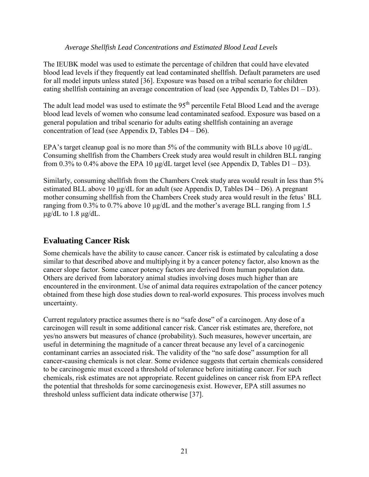#### *Average Shellfish Lead Concentrations and Estimated Blood Lead Levels*

The IEUBK model was used to estimate the percentage of children that could have elevated blood lead levels if they frequently eat lead contaminated shellfish. Default parameters are used for all model inputs unless stated [36]. Exposure was based on a tribal scenario for children eating shellfish containing an average concentration of lead (see Appendix D, Tables D1 – D3).

The adult lead model was used to estimate the 95<sup>th</sup> percentile Fetal Blood Lead and the average blood lead levels of women who consume lead contaminated seafood. Exposure was based on a general population and tribal scenario for adults eating shellfish containing an average concentration of lead (see Appendix D, Tables D4 – D6).

EPA's target cleanup goal is no more than 5% of the community with BLLs above 10  $\mu$ g/dL. Consuming shellfish from the Chambers Creek study area would result in children BLL ranging from 0.3% to 0.4% above the EPA 10  $\mu$ g/dL target level (see Appendix D, Tables D1 – D3).

Similarly, consuming shellfish from the Chambers Creek study area would result in less than 5% estimated BLL above 10 μg/dL for an adult (see Appendix D, Tables D4 – D6). A pregnant mother consuming shellfish from the Chambers Creek study area would result in the fetus' BLL ranging from 0.3% to 0.7% above 10 μg/dL and the mother's average BLL ranging from 1.5 μg/dL to  $1.8 \mu$ g/dL.

## <span id="page-21-0"></span>**Evaluating Cancer Risk**

Some chemicals have the ability to cause cancer. Cancer risk is estimated by calculating a dose similar to that described above and multiplying it by a cancer potency factor, also known as the cancer slope factor. Some cancer potency factors are derived from human population data. Others are derived from laboratory animal studies involving doses much higher than are encountered in the environment. Use of animal data requires extrapolation of the cancer potency obtained from these high dose studies down to real-world exposures. This process involves much uncertainty.

Current regulatory practice assumes there is no "safe dose" of a carcinogen. Any dose of a carcinogen will result in some additional cancer risk. Cancer risk estimates are, therefore, not yes/no answers but measures of chance (probability). Such measures, however uncertain, are useful in determining the magnitude of a cancer threat because any level of a carcinogenic contaminant carries an associated risk. The validity of the "no safe dose" assumption for all cancer-causing chemicals is not clear. Some evidence suggests that certain chemicals considered to be carcinogenic must exceed a threshold of tolerance before initiating cancer. For such chemicals, risk estimates are not appropriate. Recent guidelines on cancer risk from EPA reflect the potential that thresholds for some carcinogenesis exist. However, EPA still assumes no threshold unless sufficient data indicate otherwise [37].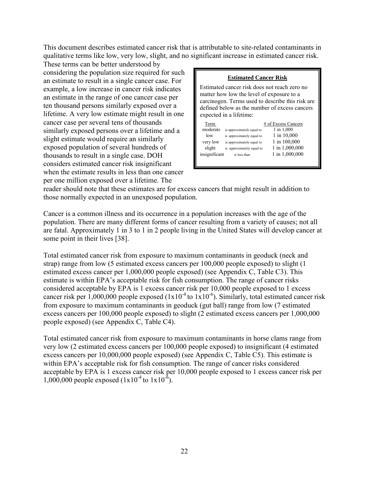This document describes estimated cancer risk that is attributable to site-related contaminants in qualitative terms like low, very low, slight, and no significant increase in estimated cancer risk.

These terms can be better understood by considering the population size required for such an estimate to result in a single cancer case. For example, a low increase in cancer risk indicates an estimate in the range of one cancer case per ten thousand persons similarly exposed over a lifetime. A very low estimate might result in one cancer case per several tens of thousands similarly exposed persons over a lifetime and a slight estimate would require an similarly exposed population of several hundreds of thousands to result in a single case. DOH considers estimated cancer risk insignificant when the estimate results in less than one cancer per one million exposed over a lifetime. The

| <b>Estimated Cancer Risk</b>                                                                                                                                                                                              |                                                                                                                                  |                                                                                                      |  |  |  |  |  |
|---------------------------------------------------------------------------------------------------------------------------------------------------------------------------------------------------------------------------|----------------------------------------------------------------------------------------------------------------------------------|------------------------------------------------------------------------------------------------------|--|--|--|--|--|
| Estimated cancer risk does not reach zero no<br>matter how low the level of exposure to a<br>carcinogen. Terms used to describe this risk are<br>defined below as the number of excess cancers<br>expected in a lifetime: |                                                                                                                                  |                                                                                                      |  |  |  |  |  |
| Term<br>moderate<br>low<br>very low<br>slight<br>insignificant                                                                                                                                                            | is approximately equal to<br>is approximately equal to<br>is approximately equal to<br>is approximately equal to<br>is less than | # of Excess Cancers<br>1 in 1,000<br>1 in 10,000<br>1 in 100,000<br>1 in 1,000,000<br>1 in 1,000,000 |  |  |  |  |  |

reader should note that these estimates are for excess cancers that might result in addition to those normally expected in an unexposed population.

Cancer is a common illness and its occurrence in a population increases with the age of the population. There are many different forms of cancer resulting from a variety of causes; not all are fatal. Approximately 1 in 3 to 1 in 2 people living in the United States will develop cancer at some point in their lives [38].

Total estimated cancer risk from exposure to maximum contaminants in geoduck (neck and strap) range from low (5 estimated excess cancers per 100,000 people exposed) to slight (1 estimated excess cancer per 1,000,000 people exposed) (see Appendix C, Table C3). This estimate is within EPA's acceptable risk for fish consumption. The range of cancer risks considered acceptable by EPA is 1 excess cancer risk per 10,000 people exposed to 1 excess cancer risk per  $1,000,000$  people exposed  $(1x10^{-4}$  to  $1x10^{-6})$ . Similarly, total estimated cancer risk from exposure to maximum contaminants in geoduck (gut ball) range from low (7 estimated excess cancers per 100,000 people exposed) to slight (2 estimated excess cancers per 1,000,000 people exposed) (see Appendix C, Table C4).

Total estimated cancer risk from exposure to maximum contaminants in horse clams range from very low (2 estimated excess cancers per 100,000 people exposed) to insignificant (4 estimated excess cancers per 10,000,000 people exposed) (see Appendix C, Table C5). This estimate is within EPA's acceptable risk for fish consumption. The range of cancer risks considered acceptable by EPA is 1 excess cancer risk per 10,000 people exposed to 1 excess cancer risk per 1,000,000 people exposed  $(1x10^{-4}$  to  $1x10^{-6})$ .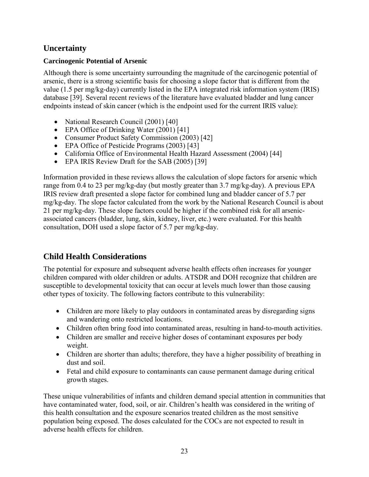## <span id="page-23-0"></span>**Uncertainty**

## <span id="page-23-1"></span>**Carcinogenic Potential of Arsenic**

Although there is some uncertainty surrounding the magnitude of the carcinogenic potential of arsenic, there is a strong scientific basis for choosing a slope factor that is different from the value (1.5 per mg/kg-day) currently listed in the EPA integrated risk information system (IRIS) database [39]. Several recent reviews of the literature have evaluated bladder and lung cancer endpoints instead of skin cancer (which is the endpoint used for the current IRIS value):

- National Research Council (2001) [40]
- EPA Office of Drinking Water (2001) [41]
- Consumer Product Safety Commission (2003) [42]
- EPA Office of Pesticide Programs (2003) [43]
- California Office of Environmental Health Hazard Assessment (2004) [44]
- EPA IRIS Review Draft for the SAB (2005) [39]

Information provided in these reviews allows the calculation of slope factors for arsenic which range from 0.4 to 23 per mg/kg-day (but mostly greater than 3.7 mg/kg-day). A previous EPA IRIS review draft presented a slope factor for combined lung and bladder cancer of 5.7 per mg/kg-day. The slope factor calculated from the work by the National Research Council is about 21 per mg/kg-day. These slope factors could be higher if the combined risk for all arsenicassociated cancers (bladder, lung, skin, kidney, liver, etc.) were evaluated. For this health consultation, DOH used a slope factor of 5.7 per mg/kg-day.

## <span id="page-23-2"></span>**Child Health Considerations**

The potential for exposure and subsequent adverse health effects often increases for younger children compared with older children or adults. ATSDR and DOH recognize that children are susceptible to developmental toxicity that can occur at levels much lower than those causing other types of toxicity. The following factors contribute to this vulnerability:

- Children are more likely to play outdoors in contaminated areas by disregarding signs and wandering onto restricted locations.
- Children often bring food into contaminated areas, resulting in hand-to-mouth activities.
- Children are smaller and receive higher doses of contaminant exposures per body weight.
- Children are shorter than adults; therefore, they have a higher possibility of breathing in dust and soil.
- Fetal and child exposure to contaminants can cause permanent damage during critical growth stages.

These unique vulnerabilities of infants and children demand special attention in communities that have contaminated water, food, soil, or air. Children's health was considered in the writing of this health consultation and the exposure scenarios treated children as the most sensitive population being exposed. The doses calculated for the COCs are not expected to result in adverse health effects for children.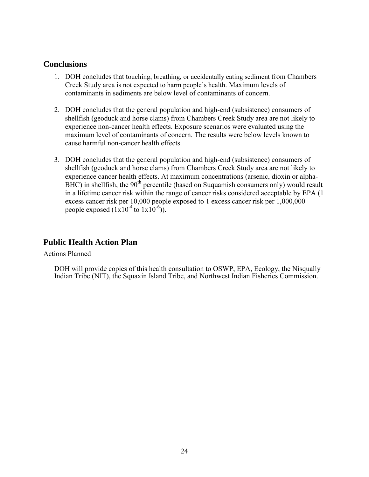#### <span id="page-24-0"></span>**Conclusions**

- 1. DOH concludes that touching, breathing, or accidentally eating sediment from Chambers Creek Study area is not expected to harm people's health. Maximum levels of contaminants in sediments are below level of contaminants of concern.
- 2. DOH concludes that the general population and high-end (subsistence) consumers of shellfish (geoduck and horse clams) from Chambers Creek Study area are not likely to experience non-cancer health effects. Exposure scenarios were evaluated using the maximum level of contaminants of concern. The results were below levels known to cause harmful non-cancer health effects.
- 3. DOH concludes that the general population and high-end (subsistence) consumers of shellfish (geoduck and horse clams) from Chambers Creek Study area are not likely to experience cancer health effects. At maximum concentrations (arsenic, dioxin or alpha- $BHC$ ) in shellfish, the  $90<sup>th</sup>$  percentile (based on Suquamish consumers only) would result in a lifetime cancer risk within the range of cancer risks considered acceptable by EPA (1 excess cancer risk per 10,000 people exposed to 1 excess cancer risk per 1,000,000 people exposed  $(1x10^{-4}$  to  $1x10^{-6})$ ).

#### <span id="page-24-1"></span>**Public Health Action Plan**

Actions Planned

DOH will provide copies of this health consultation to OSWP, EPA, Ecology, the Nisqually Indian Tribe (NIT), the Squaxin Island Tribe, and Northwest Indian Fisheries Commission.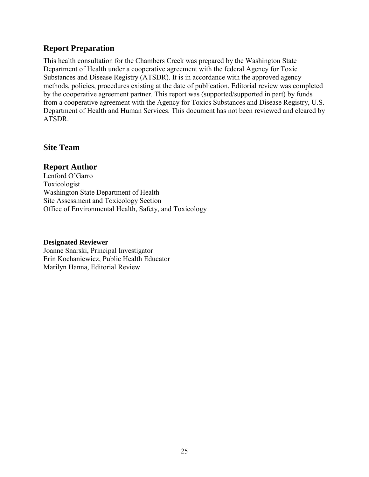### <span id="page-25-0"></span>**Report Preparation**

This health consultation for the Chambers Creek was prepared by the Washington State Department of Health under a cooperative agreement with the federal Agency for Toxic Substances and Disease Registry (ATSDR). It is in accordance with the approved agency methods, policies, procedures existing at the date of publication. Editorial review was completed by the cooperative agreement partner. This report was (supported/supported in part) by funds from a cooperative agreement with the Agency for Toxics Substances and Disease Registry, U.S. Department of Health and Human Services. This document has not been reviewed and cleared by ATSDR.

#### **Site Team**

#### **Report Author**

Lenford O'Garro Toxicologist Washington State Department of Health Site Assessment and Toxicology Section Office of Environmental Health, Safety, and Toxicology

#### **Designated Reviewer**

Joanne Snarski, Principal Investigator Erin Kochaniewicz, Public Health Educator Marilyn Hanna, Editorial Review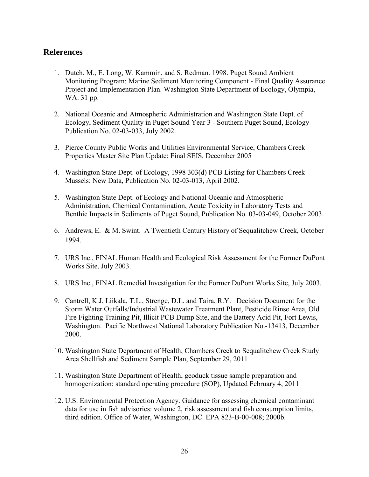#### <span id="page-26-0"></span>**References**

- 1. Dutch, M., E. Long, W. Kammin, and S. Redman. 1998. [Puget Sound Ambient](http://www.ecy.wa.gov/programs/eap/psamp/PSAMPNOAA/NOAA-PSAMP%20QAPP.pdf)  [Monitoring Program: Marine Sediment Monitoring Component - Final Quality Assurance](http://www.ecy.wa.gov/programs/eap/psamp/PSAMPNOAA/NOAA-PSAMP%20QAPP.pdf)  [Project and Implementation Plan.](http://www.ecy.wa.gov/programs/eap/psamp/PSAMPNOAA/NOAA-PSAMP%20QAPP.pdf) Washington State Department of Ecology, Olympia, WA. 31 pp.
- 2. National Oceanic and Atmospheric Administration and Washington State Dept. of Ecology, Sediment Quality in Puget Sound Year 3 - Southern Puget Sound, Ecology Publication No. 02-03-033, July 2002.
- 3. Pierce County Public Works and Utilities Environmental Service, Chambers Creek Properties Master Site Plan Update: Final SEIS, December 2005
- 4. Washington State Dept. of Ecology, 1998 303(d) PCB Listing for Chambers Creek Mussels: New Data, Publication No. 02-03-013, April 2002.
- 5. Washington State Dept. of Ecology and National Oceanic and Atmospheric Administration, Chemical Contamination, Acute Toxicity in Laboratory Tests and Benthic Impacts in Sediments of Puget Sound, Publication No. 03-03-049, October 2003.
- 6. Andrews, E. & M. Swint. A Twentieth Century History of Sequalitchew Creek, October 1994.
- 7. URS Inc., FINAL Human Health and Ecological Risk Assessment for the Former DuPont Works Site, July 2003.
- 8. URS Inc., FINAL Remedial Investigation for the Former DuPont Works Site, July 2003.
- 9. Cantrell, K.J, Liikala, T.L., Strenge, D.L. and Taira, R.Y. Decision Document for the Storm Water Outfalls/Industrial Wastewater Treatment Plant, Pesticide Rinse Area, Old Fire Fighting Training Pit, Illicit PCB Dump Site, and the Battery Acid Pit, Fort Lewis, Washington. Pacific Northwest National Laboratory Publication No.-13413, December 2000.
- 10. Washington State Department of Health, Chambers Creek to Sequalitchew Creek Study Area Shellfish and Sediment Sample Plan, September 29, 2011
- 11. Washington State Department of Health, geoduck tissue sample preparation and homogenization: standard operating procedure (SOP), Updated February 4, 2011
- 12. U.S. Environmental Protection Agency. Guidance for assessing chemical contaminant data for use in fish advisories: volume 2, risk assessment and fish consumption limits, third edition. Office of Water, Washington, DC. EPA 823-B-00-008; 2000b.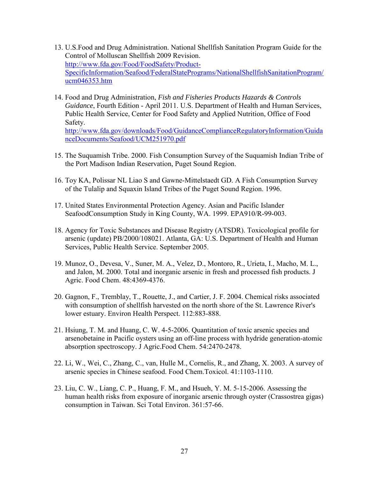- 13. U.S.Food and Drug Administration. National Shellfish Sanitation Program Guide for the Control of Molluscan Shellfish 2009 Revision. [http://www.fda.gov/Food/FoodSafety/Product-](http://www.fda.gov/Food/FoodSafety/Product-SpecificInformation/Seafood/FederalStatePrograms/NationalShellfishSanitationProgram/ucm046353.htm)[SpecificInformation/Seafood/FederalStatePrograms/NationalShellfishSanitationProgram/](http://www.fda.gov/Food/FoodSafety/Product-SpecificInformation/Seafood/FederalStatePrograms/NationalShellfishSanitationProgram/ucm046353.htm) [ucm046353.htm](http://www.fda.gov/Food/FoodSafety/Product-SpecificInformation/Seafood/FederalStatePrograms/NationalShellfishSanitationProgram/ucm046353.htm)
- 14. Food and Drug Administration, *Fish and Fisheries Products Hazards & Controls Guidance*, Fourth Edition - April 2011. U.S. Department of Health and Human Services, Public Health Service, Center for Food Safety and Applied Nutrition, Office of Food Safety. [http://www.fda.gov/downloads/Food/GuidanceComplianceRegulatoryInformation/Guida](http://www.fda.gov/downloads/Food/GuidanceComplianceRegulatoryInformation/GuidanceDocuments/Seafood/UCM251970.pdf) [nceDocuments/Seafood/UCM251970.pdf](http://www.fda.gov/downloads/Food/GuidanceComplianceRegulatoryInformation/GuidanceDocuments/Seafood/UCM251970.pdf)
- 15. The Suquamish Tribe. 2000. Fish Consumption Survey of the Suquamish Indian Tribe of the Port Madison Indian Reservation, Puget Sound Region.
- 16. Toy KA, Polissar NL Liao S and Gawne-Mittelstaedt GD. A Fish Consumption Survey of the Tulalip and Squaxin Island Tribes of the Puget Sound Region. 1996.
- 17. United States Environmental Protection Agency. Asian and Pacific Islander SeafoodConsumption Study in King County, WA. 1999. EPA910/R-99-003.
- 18. Agency for Toxic Substances and Disease Registry (ATSDR). Toxicological profile for arsenic (update) PB/2000/108021. Atlanta, GA: U.S. Department of Health and Human Services, Public Health Service. September 2005.
- 19. Munoz, O., Devesa, V., Suner, M. A., Velez, D., Montoro, R., Urieta, I., Macho, M. L., and Jalon, M. 2000. Total and inorganic arsenic in fresh and processed fish products. J Agric. Food Chem. 48:4369-4376.
- 20. Gagnon, F., Tremblay, T., Rouette, J., and Cartier, J. F. 2004. Chemical risks associated with consumption of shellfish harvested on the north shore of the St. Lawrence River's lower estuary. Environ Health Perspect. 112:883-888.
- 21. Hsiung, T. M. and Huang, C. W. 4-5-2006. Quantitation of toxic arsenic species and arsenobetaine in Pacific oysters using an off-line process with hydride generation-atomic absorption spectroscopy. J Agric.Food Chem. 54:2470-2478.
- 22. Li, W., Wei, C., Zhang, C., van, Hulle M., Cornelis, R., and Zhang, X. 2003. A survey of arsenic species in Chinese seafood. Food Chem.Toxicol. 41:1103-1110.
- 23. Liu, C. W., Liang, C. P., Huang, F. M., and Hsueh, Y. M. 5-15-2006. Assessing the human health risks from exposure of inorganic arsenic through oyster (Crassostrea gigas) consumption in Taiwan. Sci Total Environ. 361:57-66.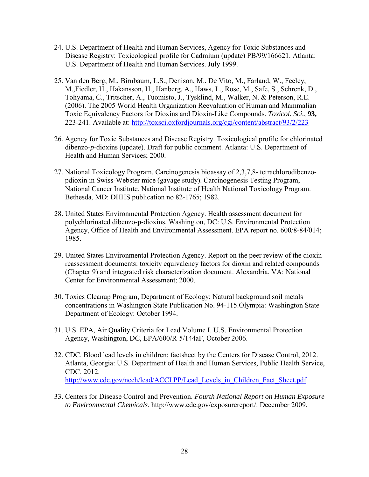- 24. U.S. Department of Health and Human Services, Agency for Toxic Substances and Disease Registry: Toxicological profile for Cadmium (update) PB/99/166621. Atlanta: U.S. Department of Health and Human Services. July 1999.
- 25. Van den Berg, M., Birnbaum, L.S., Denison, M., De Vito, M., Farland, W., Feeley, M.,Fiedler, H., Hakansson, H., Hanberg, A., Haws, L., Rose, M., Safe, S., Schrenk, D., Tohyama, C., Tritscher, A., Tuomisto, J., Tysklind, M., Walker, N. & Peterson, R.E. (2006). The 2005 World Health Organization Reevaluation of Human and Mammalian Toxic Equivalency Factors for Dioxins and Dioxin-Like Compounds. *Toxicol. Sci.*, **93,** 223-241. Available at:<http://toxsci.oxfordjournals.org/cgi/content/abstract/93/2/223>
- 26. Agency for Toxic Substances and Disease Registry. Toxicological profile for chlorinated dibenzo-*p*-dioxins (update). Draft for public comment. Atlanta: U.S. Department of Health and Human Services; 2000.
- 27. National Toxicology Program. Carcinogenesis bioassay of 2,3,7,8- tetrachlorodibenzopdioxin in Swiss-Webster mice (gavage study). Carcinogenesis Testing Program, National Cancer Institute, National Institute of Health National Toxicology Program. Bethesda, MD: DHHS publication no 82-1765; 1982.
- 28. United States Environmental Protection Agency. Health assessment document for polychlorinated dibenzo-p-dioxins. Washington, DC: U.S. Environmental Protection Agency, Office of Health and Environmental Assessment. EPA report no. 600/8-84/014; 1985.
- 29. United States Environmental Protection Agency. Report on the peer review of the dioxin reassessment documents: toxicity equivalency factors for dioxin and related compounds (Chapter 9) and integrated risk characterization document. Alexandria, VA: National Center for Environmental Assessment; 2000.
- 30. Toxics Cleanup Program, Department of Ecology: Natural background soil metals concentrations in Washington State Publication No. 94-115.Olympia: Washington State Department of Ecology: October 1994.
- 31. U.S. EPA, Air Quality Criteria for Lead Volume I. U.S. Environmental Protection Agency, Washington, DC, EPA/600/R-5/144aF, October 2006.
- 32. CDC. Blood lead levels in children: factsheet by the Centers for Disease Control, 2012. Atlanta, Georgia: U.S. Department of Health and Human Services, Public Health Service, CDC. 2012. [http://www.cdc.gov/nceh/lead/ACCLPP/Lead\\_Levels\\_in\\_Children\\_Fact\\_Sheet.pdf](http://www.cdc.gov/nceh/lead/ACCLPP/Lead_Levels_in_Children_Fact_Sheet.pdf)
- 33. Centers for Disease Control and Prevention. *Fourth National Report on Human Exposure to Environmental Chemicals*. http://www.cdc.gov/exposurereport/. December 2009.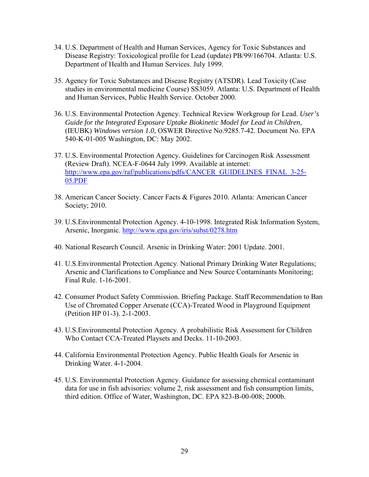- 34. U.S. Department of Health and Human Services, Agency for Toxic Substances and Disease Registry: Toxicological profile for Lead (update) PB/99/166704. Atlanta: U.S. Department of Health and Human Services. July 1999.
- 35. Agency for Toxic Substances and Disease Registry (ATSDR). Lead Toxicity (Case studies in environmental medicine Course) SS3059. Atlanta: U.S. Department of Health and Human Services, Public Health Service. October 2000.
- 36. U.S. Environmental Protection Agency. Technical Review Workgroup for Lead. *User's Guide for the Integrated Exposure Uptake Biokinetic Model for Lead in Children,* (IEUBK) *Windows version 1.0*, OSWER Directive No.9285.7-42. Document No. EPA 540-K-01-005 Washington, DC: May 2002.
- 37. U.S. Environmental Protection Agency. Guidelines for Carcinogen Risk Assessment (Review Draft). NCEA-F-0644 July 1999. Available at internet: [http://www.epa.gov/raf/publications/pdfs/CANCER\\_GUIDELINES\\_FINAL\\_3-25-](http://www.epa.gov/raf/publications/pdfs/CANCER_GUIDELINES_FINAL_3-25-05.PDF) [05.PDF](http://www.epa.gov/raf/publications/pdfs/CANCER_GUIDELINES_FINAL_3-25-05.PDF)
- 38. American Cancer Society. Cancer Facts & Figures 2010. Atlanta: American Cancer Society; 2010.
- 39. U.S.Environmental Protection Agency. 4-10-1998. Integrated Risk Information System, Arsenic, Inorganic.<http://www.epa.gov/iris/subst/0278.htm>
- 40. National Research Council. Arsenic in Drinking Water: 2001 Update. 2001.
- 41. U.S.Environmental Protection Agency. National Primary Drinking Water Regulations; Arsenic and Clarifications to Compliance and New Source Contaminants Monitoring; Final Rule. 1-16-2001.
- 42. Consumer Product Safety Commission. Briefing Package. Staff Recommendation to Ban Use of Chromated Copper Arsenate (CCA)-Treated Wood in Playground Equipment (Petition HP 01-3). 2-1-2003.
- 43. U.S.Environmental Protection Agency. A probabilistic Risk Assessment for Children Who Contact CCA-Treated Playsets and Decks. 11-10-2003.
- 44. California Environmental Protection Agency. Public Health Goals for Arsenic in Drinking Water. 4-1-2004.
- 45. U.S. Environmental Protection Agency. Guidance for assessing chemical contaminant data for use in fish advisories: volume 2, risk assessment and fish consumption limits, third edition. Office of Water, Washington, DC. EPA 823-B-00-008; 2000b.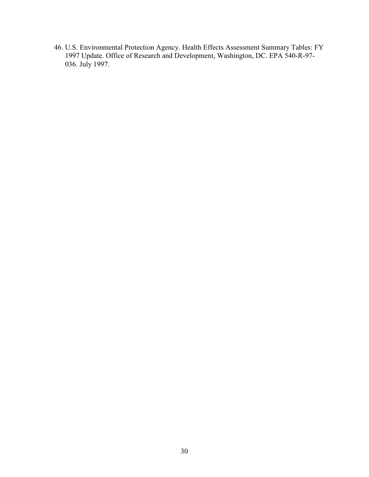46. U.S. Environmental Protection Agency. Health Effects Assessment Summary Tables: FY 1997 Update. Office of Research and Development, Washington, DC. EPA 540-R-97- 036. July 1997.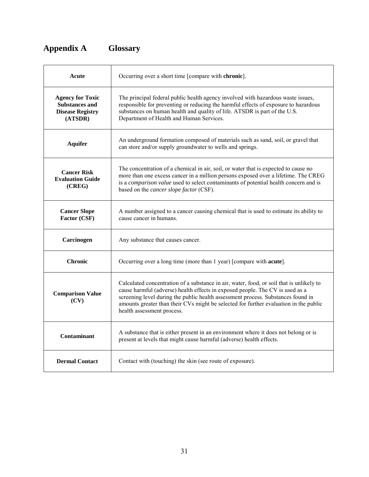## <span id="page-31-0"></span>**Appendix A Glossary**

| Acute                                                                                  | Occurring over a short time [compare with chronic].                                                                                                                                                                                                                                                                                                                                  |
|----------------------------------------------------------------------------------------|--------------------------------------------------------------------------------------------------------------------------------------------------------------------------------------------------------------------------------------------------------------------------------------------------------------------------------------------------------------------------------------|
| <b>Agency for Toxic</b><br><b>Substances and</b><br><b>Disease Registry</b><br>(ATSDR) | The principal federal public health agency involved with hazardous waste issues,<br>responsible for preventing or reducing the harmful effects of exposure to hazardous<br>substances on human health and quality of life. ATSDR is part of the U.S.<br>Department of Health and Human Services.                                                                                     |
| <b>Aquifer</b>                                                                         | An underground formation composed of materials such as sand, soil, or gravel that<br>can store and/or supply groundwater to wells and springs.                                                                                                                                                                                                                                       |
| <b>Cancer Risk</b><br><b>Evaluation Guide</b><br>(CREG)                                | The concentration of a chemical in air, soil, or water that is expected to cause no<br>more than one excess cancer in a million persons exposed over a lifetime. The CREG<br>is a comparison value used to select contaminants of potential health concern and is<br>based on the <i>cancer slope factor</i> (CSF).                                                                  |
| <b>Cancer Slope</b><br>Factor (CSF)                                                    | A number assigned to a cancer causing chemical that is used to estimate its ability to<br>cause cancer in humans.                                                                                                                                                                                                                                                                    |
| Carcinogen                                                                             | Any substance that causes cancer.                                                                                                                                                                                                                                                                                                                                                    |
| <b>Chronic</b>                                                                         | Occurring over a long time (more than 1 year) [compare with <b>acute</b> ].                                                                                                                                                                                                                                                                                                          |
| <b>Comparison Value</b><br>(CV)                                                        | Calculated concentration of a substance in air, water, food, or soil that is unlikely to<br>cause harmful (adverse) health effects in exposed people. The CV is used as a<br>screening level during the public health assessment process. Substances found in<br>amounts greater than their CVs might be selected for further evaluation in the public<br>health assessment process. |
| <b>Contaminant</b>                                                                     | A substance that is either present in an environment where it does not belong or is<br>present at levels that might cause harmful (adverse) health effects.                                                                                                                                                                                                                          |
| <b>Dermal Contact</b>                                                                  | Contact with (touching) the skin (see route of exposure).                                                                                                                                                                                                                                                                                                                            |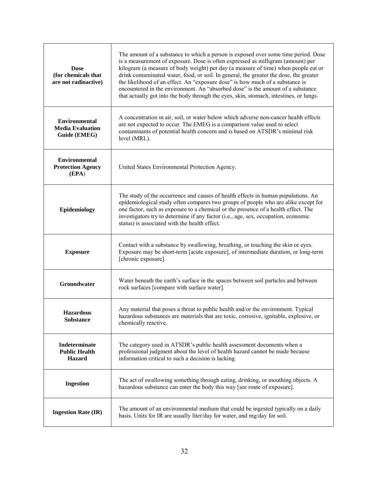| <b>Dose</b><br>(for chemicals that<br>are not radioactive)      | The amount of a substance to which a person is exposed over some time period. Dose<br>is a measurement of exposure. Dose is often expressed as milligram (amount) per<br>kilogram (a measure of body weight) per day (a measure of time) when people eat or<br>drink contaminated water, food, or soil. In general, the greater the dose, the greater<br>the likelihood of an effect. An "exposure dose" is how much of a substance is<br>encountered in the environment. An "absorbed dose" is the amount of a substance<br>that actually got into the body through the eyes, skin, stomach, intestines, or lungs. |
|-----------------------------------------------------------------|---------------------------------------------------------------------------------------------------------------------------------------------------------------------------------------------------------------------------------------------------------------------------------------------------------------------------------------------------------------------------------------------------------------------------------------------------------------------------------------------------------------------------------------------------------------------------------------------------------------------|
| <b>Environmental</b><br><b>Media Evaluation</b><br>Guide (EMEG) | A concentration in air, soil, or water below which adverse non-cancer health effects<br>are not expected to occur. The EMEG is a comparison value used to select<br>contaminants of potential health concern and is based on ATSDR's minimal risk<br>level (MRL).                                                                                                                                                                                                                                                                                                                                                   |
| <b>Environmental</b><br><b>Protection Agency</b><br>(EPA)       | United States Environmental Protection Agency.                                                                                                                                                                                                                                                                                                                                                                                                                                                                                                                                                                      |
| Epidemiology                                                    | The study of the occurrence and causes of health effects in human populations. An<br>epidemiological study often compares two groups of people who are alike except for<br>one factor, such as exposure to a chemical or the presence of a health effect. The<br>investigators try to determine if any factor (i.e., age, sex, occupation, economic<br>status) is associated with the health effect.                                                                                                                                                                                                                |
| <b>Exposure</b>                                                 | Contact with a substance by swallowing, breathing, or touching the skin or eyes.<br>Exposure may be short-term [acute exposure], of intermediate duration, or long-term<br>[chronic exposure].                                                                                                                                                                                                                                                                                                                                                                                                                      |
| Groundwater                                                     | Water beneath the earth's surface in the spaces between soil particles and between<br>rock surfaces [compare with surface water].                                                                                                                                                                                                                                                                                                                                                                                                                                                                                   |
| <b>Hazardous</b><br><b>Substance</b>                            | Any material that poses a threat to public health and/or the environment. Typical<br>hazardous substances are materials that are toxic, corrosive, ignitable, explosive, or<br>chemically reactive.                                                                                                                                                                                                                                                                                                                                                                                                                 |
| Indeterminate<br><b>Public Health</b><br><b>Hazard</b>          | The category used in ATSDR's public health assessment documents when a<br>professional judgment about the level of health hazard cannot be made because<br>information critical to such a decision is lacking.                                                                                                                                                                                                                                                                                                                                                                                                      |
| <b>Ingestion</b>                                                | The act of swallowing something through eating, drinking, or mouthing objects. A<br>hazardous substance can enter the body this way [see route of exposure].                                                                                                                                                                                                                                                                                                                                                                                                                                                        |
| <b>Ingestion Rate (IR)</b>                                      | The amount of an environmental medium that could be ingested typically on a daily<br>basis. Units for IR are usually liter/day for water, and mg/day for soil.                                                                                                                                                                                                                                                                                                                                                                                                                                                      |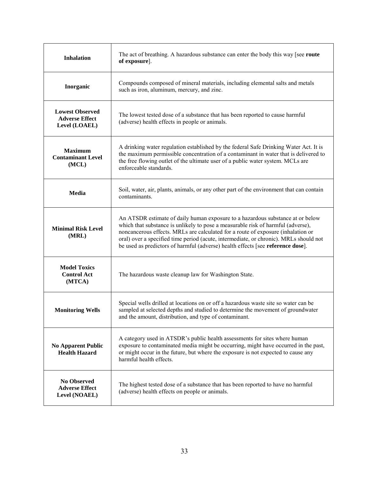| <b>Inhalation</b>                                                | The act of breathing. A hazardous substance can enter the body this way [see route]<br>of exposure].                                                                                                                                                                                                                                                                                                                               |
|------------------------------------------------------------------|------------------------------------------------------------------------------------------------------------------------------------------------------------------------------------------------------------------------------------------------------------------------------------------------------------------------------------------------------------------------------------------------------------------------------------|
| Inorganic                                                        | Compounds composed of mineral materials, including elemental salts and metals<br>such as iron, aluminum, mercury, and zinc.                                                                                                                                                                                                                                                                                                        |
| <b>Lowest Observed</b><br><b>Adverse Effect</b><br>Level (LOAEL) | The lowest tested dose of a substance that has been reported to cause harmful<br>(adverse) health effects in people or animals.                                                                                                                                                                                                                                                                                                    |
| <b>Maximum</b><br><b>Contaminant Level</b><br>(MCL)              | A drinking water regulation established by the federal Safe Drinking Water Act. It is<br>the maximum permissible concentration of a contaminant in water that is delivered to<br>the free flowing outlet of the ultimate user of a public water system. MCLs are<br>enforceable standards.                                                                                                                                         |
| <b>Media</b>                                                     | Soil, water, air, plants, animals, or any other part of the environment that can contain<br>contaminants.                                                                                                                                                                                                                                                                                                                          |
| <b>Minimal Risk Level</b><br>(MRL)                               | An ATSDR estimate of daily human exposure to a hazardous substance at or below<br>which that substance is unlikely to pose a measurable risk of harmful (adverse),<br>noncancerous effects. MRLs are calculated for a route of exposure (inhalation or<br>oral) over a specified time period (acute, intermediate, or chronic). MRLs should not<br>be used as predictors of harmful (adverse) health effects [see reference dose]. |
| <b>Model Toxics</b><br><b>Control Act</b><br>(MTCA)              | The hazardous waste cleanup law for Washington State.                                                                                                                                                                                                                                                                                                                                                                              |
| <b>Monitoring Wells</b>                                          | Special wells drilled at locations on or off a hazardous waste site so water can be<br>sampled at selected depths and studied to determine the movement of groundwater<br>and the amount, distribution, and type of contaminant.                                                                                                                                                                                                   |
| <b>No Apparent Public</b><br><b>Health Hazard</b>                | A category used in ATSDR's public health assessments for sites where human<br>exposure to contaminated media might be occurring, might have occurred in the past,<br>or might occur in the future, but where the exposure is not expected to cause any<br>harmful health effects.                                                                                                                                                  |
| <b>No Observed</b><br><b>Adverse Effect</b><br>Level (NOAEL)     | The highest tested dose of a substance that has been reported to have no harmful<br>(adverse) health effects on people or animals.                                                                                                                                                                                                                                                                                                 |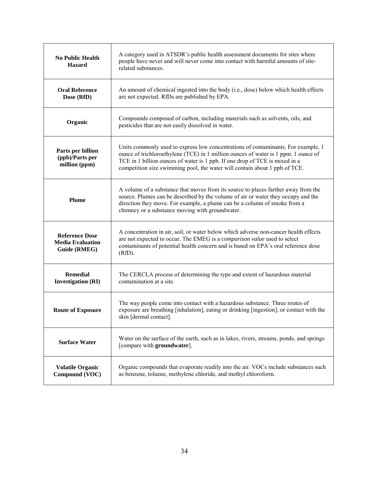| <b>No Public Health</b><br><b>Hazard</b>                         | A category used in ATSDR's public health assessment documents for sites where<br>people have never and will never come into contact with harmful amounts of site-<br>related substances.                                                                                                                                             |
|------------------------------------------------------------------|--------------------------------------------------------------------------------------------------------------------------------------------------------------------------------------------------------------------------------------------------------------------------------------------------------------------------------------|
| <b>Oral Reference</b><br>Dose (RfD)                              | An amount of chemical ingested into the body (i.e., dose) below which health effects<br>are not expected. RfDs are published by EPA.                                                                                                                                                                                                 |
| Organic                                                          | Compounds composed of carbon, including materials such as solvents, oils, and<br>pesticides that are not easily dissolved in water.                                                                                                                                                                                                  |
| Parts per billion<br>(ppb)/Parts per<br>million (ppm)            | Units commonly used to express low concentrations of contaminants. For example, 1<br>ounce of trichloroethylene (TCE) in 1 million ounces of water is 1 ppm. 1 ounce of<br>TCE in 1 billion ounces of water is 1 ppb. If one drop of TCE is mixed in a<br>competition size swimming pool, the water will contain about 1 ppb of TCE. |
| Plume                                                            | A volume of a substance that moves from its source to places farther away from the<br>source. Plumes can be described by the volume of air or water they occupy and the<br>direction they move. For example, a plume can be a column of smoke from a<br>chimney or a substance moving with groundwater.                              |
| <b>Reference Dose</b><br><b>Media Evaluation</b><br>Guide (RMEG) | A concentration in air, soil, or water below which adverse non-cancer health effects<br>are not expected to occur. The EMEG is a <i>comparison value</i> used to select<br>contaminants of potential health concern and is based on EPA's oral reference dose<br>(RfD).                                                              |
| <b>Remedial</b><br><b>Investigation (RI)</b>                     | The CERCLA process of determining the type and extent of hazardous material<br>contamination at a site.                                                                                                                                                                                                                              |
| <b>Route of Exposure</b>                                         | The way people come into contact with a hazardous substance. Three routes of<br>exposure are breathing [inhalation], eating or drinking [ingestion], or contact with the<br>skin [dermal contact].                                                                                                                                   |
| <b>Surface Water</b>                                             | Water on the surface of the earth, such as in lakes, rivers, streams, ponds, and springs<br>[compare with groundwater].                                                                                                                                                                                                              |
| <b>Volatile Organic</b><br>Compound (VOC)                        | Organic compounds that evaporate readily into the air. VOCs include substances such<br>as benzene, toluene, methylene chloride, and methyl chloroform.                                                                                                                                                                               |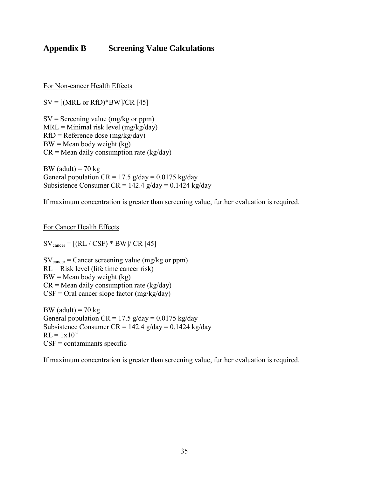## <span id="page-35-0"></span>**Appendix B Screening Value Calculations**

For Non-cancer Health Effects

 $SV = [(MRL or RfD)*BW]/CR [45]$ 

 $SV =$  Screening value (mg/kg or ppm)  $MRL =$  Minimal risk level (mg/kg/day)  $RfD =$ Reference dose (mg/kg/day)  $BW = Mean$  body weight (kg)  $CR = Mean$  daily consumption rate (kg/day)

BW (adult) =  $70 \text{ kg}$ General population  $CR = 17.5$  g/day = 0.0175 kg/day Subsistence Consumer CR = 142.4  $g/day = 0.1424$  kg/day

If maximum concentration is greater than screening value, further evaluation is required.

For Cancer Health Effects

 $SV_{\text{cancer}} = [(RL / CSF) * BW] / CR [45]$ 

 $SV<sub>cancer</sub> = Cancer screening value (mg/kg or ppm)$ RL = Risk level (life time cancer risk)  $BW = Mean$  body weight (kg)  $CR = Mean$  daily consumption rate (kg/day)  $CSF =$  Oral cancer slope factor (mg/kg/day)

BW (adult) =  $70 \text{ kg}$ General population  $CR = 17.5$  g/day = 0.0175 kg/day Subsistence Consumer CR =  $142.4$  g/day = 0.1424 kg/day  $RL = 1x10^{-5}$  $CSF =$  contaminants specific

If maximum concentration is greater than screening value, further evaluation is required.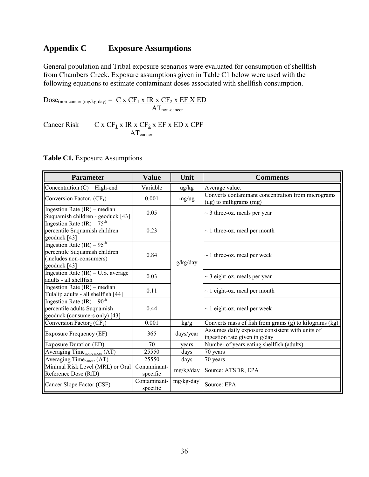## <span id="page-36-0"></span>**Appendix C Exposure Assumptions**

General population and Tribal exposure scenarios were evaluated for consumption of shellfish from Chambers Creek. Exposure assumptions given in Table C1 below were used with the following equations to estimate contaminant doses associated with shellfish consumption.

 $Dose_{(non-cancer (mg/kg-day))} = C \times CF_1 \times IR \times CF_2 \times EF \times ED$  $AT_{non-cancer}$ 

Cancer Risk =  $C x CF_1 x IR x CF_2 x EF x ED x CPF$  $AT<sub>cancer</sub>$ 

**Table C1.** Exposure Assumptions

| <b>Parameter</b>                                                                                            | <b>Value</b>             | Unit                                                                                                                   | <b>Comments</b>                                                                  |
|-------------------------------------------------------------------------------------------------------------|--------------------------|------------------------------------------------------------------------------------------------------------------------|----------------------------------------------------------------------------------|
| Concentration (C) - High-end                                                                                | Variable                 | $\frac{u g}{k g}$                                                                                                      | Average value.                                                                   |
| Conversion Factor <sub>1</sub> ( $CF1$ )                                                                    | 0.001                    | mg/ug                                                                                                                  | Converts contaminant concentration from micrograms<br>(ug) to milligrams (mg)    |
| Ingestion Rate (IR) – median<br>Suquamish children - geoduck [43]                                           | 0.05                     |                                                                                                                        | $\sim$ 3 three-oz. meals per year                                                |
| Ingestion Rate $(IR) - 75th$<br>percentile Suquamish children-<br>geoduck [43]                              | 0.23                     |                                                                                                                        | $\sim$ 1 three-oz. meal per month                                                |
| Ingestion Rate $(IR) - 95th$<br>percentile Suquamish children<br>(includes non-consumers) -<br>geoduck [43] | 0.84                     | g/kg/day                                                                                                               | $\sim$ 1 three-oz. meal per week                                                 |
| Ingestion Rate (IR) - U.S. average<br>adults - all shellfish                                                | 0.03                     |                                                                                                                        | $\sim$ 3 eight-oz. meals per year                                                |
| Ingestion Rate (IR) – median<br>Tulalip adults - all shellfish [44]                                         | 0.11                     |                                                                                                                        | $\sim$ 1 eight-oz. meal per month                                                |
| Ingestion Rate $(IR) - 90^{th}$<br>percentile adults Suquamish -<br>geoduck (consumers only) [43]           | 0.44                     |                                                                                                                        | $\sim$ 1 eight-oz. meal per week                                                 |
| Conversion Factor <sub>2</sub> ( $CF_2$ )                                                                   | 0.001                    | kg/g                                                                                                                   | Converts mass of fish from grams (g) to kilograms (kg)                           |
| <b>Exposure Frequency (EF)</b>                                                                              | 365                      | days/year                                                                                                              | Assumes daily exposure consistent with units of<br>ingestion rate given in g/day |
| <b>Exposure Duration (ED)</b>                                                                               | 70                       | years                                                                                                                  | Number of years eating shellfish (adults)                                        |
| Averaging Time <sub>non-cancer</sub> (AT)                                                                   | 25550                    | days                                                                                                                   | 70 years                                                                         |
| Averaging Time <sub>cancer</sub> (AT)                                                                       | 25550                    | days                                                                                                                   | 70 years                                                                         |
| Minimal Risk Level (MRL) or Oral<br>Reference Dose (RfD)                                                    | Contaminant-<br>specific | mg/kg/day                                                                                                              | Source: ATSDR, EPA                                                               |
| Cancer Slope Factor (CSF)                                                                                   | Contaminant-<br>specific | $\ensuremath{\mathrm{mg}}\xspace/\ensuremath{\mathrm{kg}}\xspace\ensuremath{\text{-}}\ensuremath{\mathrm{day}}\xspace$ | Source: EPA                                                                      |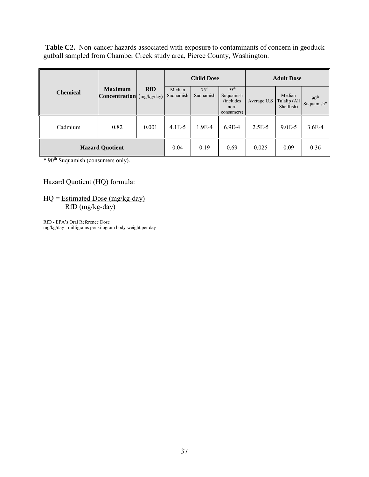Table C2. Non-cancer hazards associated with exposure to contaminants of concern in geoduck gutball sampled from Chamber Creek study area, Pierce County, Washington.

|                        |                                                    |            | <b>Child Dose</b>   |                               |                                                                   | <b>Adult Dose</b> |                                      |                                |
|------------------------|----------------------------------------------------|------------|---------------------|-------------------------------|-------------------------------------------------------------------|-------------------|--------------------------------------|--------------------------------|
| <b>Chemical</b>        | <b>Maximum</b><br><b>Concentration</b> (mg/kg/day) | <b>RfD</b> | Median<br>Suquamish | 75 <sup>th</sup><br>Suquamish | 95 <sup>th</sup><br>Suquamish<br>(includes)<br>non-<br>consumers) | Average U.S       | Median<br>Tulalip (All<br>Shellfish) | 90 <sup>th</sup><br>Suquamish* |
| Cadmium                | 0.82                                               | 0.001      | $4.1E - 5$          | $1.9E-4$                      | $6.9E-4$                                                          | $2.5E-5$          | $9.0E - 5$                           | $3.6E-4$                       |
| <b>Hazard Quotient</b> |                                                    |            | 0.04                | 0.19                          | 0.69                                                              | 0.025             | 0.09                                 | 0.36                           |

\* 90<sup>th</sup> Suquamish (consumers only).

#### Hazard Quotient (HQ) formula:

 $HQ = Estimated Does (mg/kg-day)$ RfD (mg/kg-day)

RfD - EPA's Oral Reference Dose mg/kg/day - milligrams per kilogram body-weight per day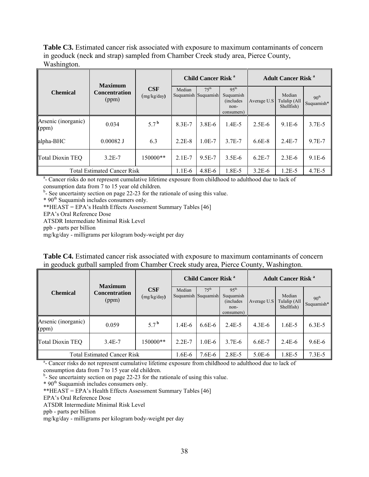**Table C3.** Estimated cancer risk associated with exposure to maximum contaminants of concern in geoduck (neck and strap) sampled from Chamber Creek study area, Pierce County, Washington.

| <b>Maximum</b>               |                                    |                    | Child Cancer Risk <sup>a</sup> |                  |                                                                          | <b>Adult Cancer Risk<sup>a</sup></b> |                                      |                                |
|------------------------------|------------------------------------|--------------------|--------------------------------|------------------|--------------------------------------------------------------------------|--------------------------------------|--------------------------------------|--------------------------------|
| <b>Chemical</b>              | <b>Concentration</b><br>(ppm)      | CSF<br>(mg/kg/day) | Median<br>Suquamish Suquamish  | 75 <sup>th</sup> | 95 <sup>th</sup><br>Suquamish<br><i>(includes)</i><br>non-<br>consumers) | Average U.S                          | Median<br>Tulalip (All<br>Shellfish) | 90 <sup>th</sup><br>Suquamish* |
| Arsenic (inorganic)<br>(ppm) | 0.034                              | $5.7^{\mathrm{b}}$ | $8.3E - 7$                     | $3.8E - 6$       | $1.4E-5$                                                                 | $2.5E-6$                             | $9.1E-6$                             | $3.7E - 5$                     |
| alpha-BHC                    | $0.00082$ J                        | 6.3                | $2.2E-8$                       | $1.0E-7$         | $3.7E - 7$                                                               | $6.6E-8$                             | $2.4E - 7$                           | 9.7E-7                         |
| Total Dioxin TEQ             | $3.2E - 7$                         | 150000**           | $2.1E-7$                       | 9.5E-7           | $3.5E-6$                                                                 | $6.2E-7$                             | $2.3E-6$                             | $9.1E - 6$                     |
|                              | <b>Total Estimated Cancer Risk</b> |                    | 1.1E-6                         | $4.8E - 6$       | 1.8E-5                                                                   | $3.2E-6$                             | $1.2E - 5$                           | $4.7E - 5$                     |

<sup>a</sup>- Cancer risks do not represent cumulative lifetime exposure from childhood to adulthood due to lack of

consumption data from 7 to 15 year old children.

 $b$ - See uncertainty section on page 22-23 for the rationale of using this value.

\* 90th Suquamish includes consumers only.

\*\*HEAST = EPA's Health Effects Assessment Summary Tables [46]

EPA's Oral Reference Dose

ATSDR Intermediate Minimal Risk Level

ppb - parts per billion

mg/kg/day - milligrams per kilogram body-weight per day

| Table C4. Estimated cancer risk associated with exposure to maximum contaminants of concern |  |
|---------------------------------------------------------------------------------------------|--|
| in geoduck gutball sampled from Chamber Creek study area, Pierce County, Washington.        |  |

| <b>Chemical</b>                    |                                                                                                                      |                    | <b>Child Cancer Risk<sup>a</sup></b> |                   |                                                                          | <b>Adult Cancer Risk<sup>a</sup></b> |                                      |                                |
|------------------------------------|----------------------------------------------------------------------------------------------------------------------|--------------------|--------------------------------------|-------------------|--------------------------------------------------------------------------|--------------------------------------|--------------------------------------|--------------------------------|
|                                    | <b>Maximum</b><br><b>Concentration</b><br>(ppm)                                                                      | CSF<br>(mg/kg/day) | Median<br>Suquamish Suquamish        | $7.5^{\text{th}}$ | 95 <sup>th</sup><br>Suquamish<br><i>(includes)</i><br>non-<br>consumers) | Average U.S                          | Median<br>Tulalip (All<br>Shellfish) | 90 <sup>th</sup><br>Suquamish* |
| Arsenic (inorganic)<br>(ppm)       | 0.059                                                                                                                | $5.7^{\mathrm{b}}$ | $1.4E-6$                             | $6.6E - 6$        | 2.4E-5                                                                   | $4.3E-6$                             | $1.6E - 5$                           | $6.3E - 5$                     |
| Total Dioxin TEQ                   | 3.4E-7                                                                                                               | $150000**$         | $2.2E-7$                             | $1.0E-6$          | 3.7E-6                                                                   | 6.6E-7                               | $2.4E-6$                             | $9.6E - 6$                     |
| <b>Total Estimated Cancer Risk</b> | 1.6E-6                                                                                                               | 7.6E-6             | 2.8E-5                               | $5.0E-6$          | 1.8E-5                                                                   | $7.3E-5$                             |                                      |                                |
|                                    | <sup>a</sup> - Cancer risks do not represent cumulative lifetime exposure from childhood to adulthood due to lack of |                    |                                      |                   |                                                                          |                                      |                                      |                                |

consumption data from 7 to 15 year old children.

<sup>b</sup>- See uncertainty section on page 22-23 for the rationale of using this value.

\* 90th Suquamish includes consumers only.

\*\* $HEAST = EPA's Health Effects Assessment Summary Tables [46]$ 

EPA's Oral Reference Dose

ATSDR Intermediate Minimal Risk Level

ppb - parts per billion

mg/kg/day - milligrams per kilogram body-weight per day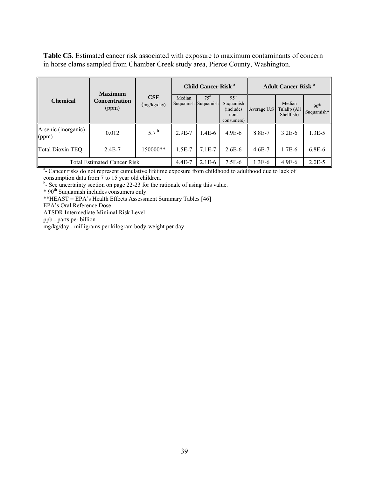**Table C5.** Estimated cancer risk associated with exposure to maximum contaminants of concern in horse clams sampled from Chamber Creek study area, Pierce County, Washington.

|                                    | <b>Maximum</b>                |                    | Child Cancer Risk <sup>a</sup> |                                          |                                                                          | <b>Adult Cancer Risk</b> <sup>a</sup> |                                      |                                |
|------------------------------------|-------------------------------|--------------------|--------------------------------|------------------------------------------|--------------------------------------------------------------------------|---------------------------------------|--------------------------------------|--------------------------------|
| <b>Chemical</b>                    | <b>Concentration</b><br>(ppm) | CSF<br>(mg/kg/day) | Median                         | $7.5^{\text{th}}$<br>Suquamish Suquamish | 95 <sup>th</sup><br>Suquamish<br><i>(includes)</i><br>non-<br>consumers) | Average U.S                           | Median<br>Tulalip (All<br>Shellfish) | 90 <sup>th</sup><br>Suquamish* |
| Arsenic (inorganic)<br>(ppm)       | 0.012                         | 5.7 <sup>b</sup>   | 2.9E-7                         | $1.4E-6$                                 | $4.9E-6$                                                                 | 8.8E-7                                | $3.2E-6$                             | $1.3E-5$                       |
| Total Dioxin TEQ                   | $2.4E - 7$                    | 150000**           | $1.5E-7$                       | $7.1E-7$                                 | $2.6E-6$                                                                 | $4.6E - 7$                            | 1.7E-6                               | $6.8E-6$                       |
| <b>Total Estimated Cancer Risk</b> |                               |                    | $4.4E - 7$                     | $2.1E-6$                                 | $7.5E-6$                                                                 | $1.3E-6$                              | $4.9E-6$                             | $2.0E-5$                       |

<sup>a</sup>- Cancer risks do not represent cumulative lifetime exposure from childhood to adulthood due to lack of

consumption data from 7 to 15 year old children. b - See uncertainty section on page 22-23 for the rationale of using this value.

\* 90<sup>th</sup> Suquamish includes consumers only.

\*\*HEAST = EPA's Health Effects Assessment Summary Tables [46]

EPA's Oral Reference Dose

ATSDR Intermediate Minimal Risk Level

ppb - parts per billion

mg/kg/day - milligrams per kilogram body-weight per day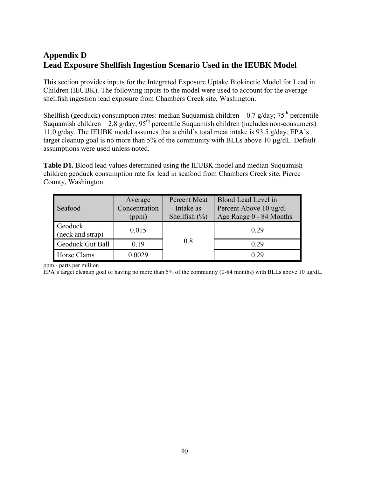## <span id="page-40-0"></span>**Appendix D Lead Exposure Shellfish Ingestion Scenario Used in the IEUBK Model**

This section provides inputs for the Integrated Exposure Uptake Biokinetic Model for Lead in Children (IEUBK). The following inputs to the model were used to account for the average shellfish ingestion lead exposure from Chambers Creek site, Washington.

Shellfish (geoduck) consumption rates: median Suquamish children – 0.7 g/day;  $75<sup>th</sup>$  percentile Suquamish children – 2.8 g/day;  $95<sup>th</sup>$  percentile Suquamish children (includes non-consumers) – 11.0 g/day. The IEUBK model assumes that a child's total meat intake is 93.5 g/day. EPA's target cleanup goal is no more than 5% of the community with BLLs above 10 µg/dL. Default assumptions were used unless noted.

**Table D1.** Blood lead values determined using the IEUBK model and median Suquamish children geoduck consumption rate for lead in seafood from Chambers Creek site, Pierce County, Washington.

| Seafood                     | Average<br>Concentration<br>(ppm) | <b>Percent Meat</b><br>Intake as<br>Shellfish $(\% )$ | Blood Lead Level in<br>Percent Above 10 ug/dl<br>Age Range 0 - 84 Months |
|-----------------------------|-----------------------------------|-------------------------------------------------------|--------------------------------------------------------------------------|
| Geoduck<br>(neck and strap) | 0.015                             |                                                       | 0.29                                                                     |
| Geoduck Gut Ball            | 0.19                              | 0.8                                                   | 0.29                                                                     |
| Horse Clams                 | 0.0029                            |                                                       | 0.29                                                                     |

ppm - parts per million

EPA's target cleanup goal of having no more than 5% of the community (0-84 months) with BLLs above 10 μg/dL.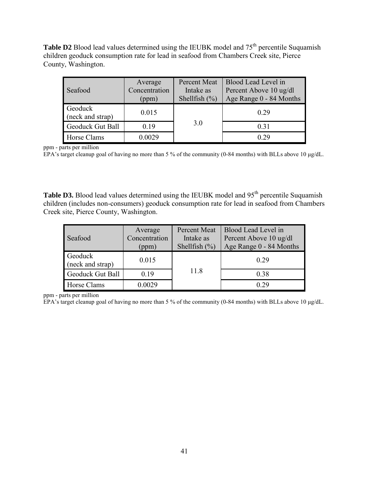**Table D2** Blood lead values determined using the IEUBK model and  $75<sup>th</sup>$  percentile Suquamish children geoduck consumption rate for lead in seafood from Chambers Creek site, Pierce County, Washington.

| Seafood                     | Average<br>Concentration<br>(ppm) | Percent Meat<br>Intake as<br>Shellfish $(\% )$ | Blood Lead Level in<br>Percent Above 10 ug/dl<br>Age Range 0 - 84 Months |
|-----------------------------|-----------------------------------|------------------------------------------------|--------------------------------------------------------------------------|
| Geoduck<br>(neck and strap) | 0.015                             |                                                | 0.29                                                                     |
| Geoduck Gut Ball            | 0.19                              | 3.0                                            | 0.31                                                                     |
| Horse Clams                 | 0.0029                            |                                                | 0.29                                                                     |

ppm - parts per million

EPA's target cleanup goal of having no more than 5 % of the community (0-84 months) with BLLs above 10 μg/dL.

Table D3. Blood lead values determined using the IEUBK model and 95<sup>th</sup> percentile Suquamish children (includes non-consumers) geoduck consumption rate for lead in seafood from Chambers Creek site, Pierce County, Washington.

| Seafood                     | Average<br>Concentration<br>(ppm) | Percent Meat<br>Intake as<br>Shellfish $(\% )$ | Blood Lead Level in<br>Percent Above 10 ug/dl<br>Age Range 0 - 84 Months |
|-----------------------------|-----------------------------------|------------------------------------------------|--------------------------------------------------------------------------|
| Geoduck<br>(neck and strap) | 0.015                             |                                                | 0.29                                                                     |
| Geoduck Gut Ball            | 0.19                              | 11.8                                           | 0.38                                                                     |
| Horse Clams                 | 0.0029                            |                                                | 0.29                                                                     |

ppm - parts per million

EPA's target cleanup goal of having no more than 5 % of the community (0-84 months) with BLLs above 10 μg/dL.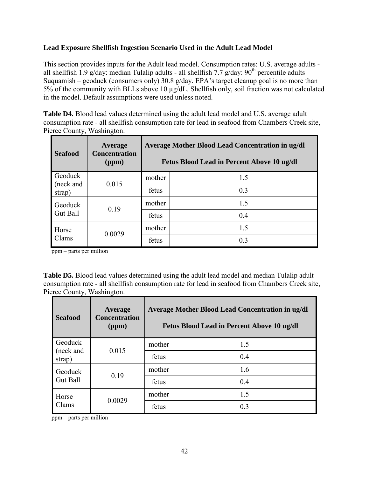#### **Lead Exposure Shellfish Ingestion Scenario Used in the Adult Lead Model**

This section provides inputs for the Adult lead model. Consumption rates: U.S. average adults all shellfish 1.9 g/day: median Tulalip adults - all shellfish 7.7 g/day:  $90<sup>th</sup>$  percentile adults Suquamish – geoduck (consumers only) 30.8 g/day. EPA's target cleanup goal is no more than 5% of the community with BLLs above 10 µg/dL. Shellfish only, soil fraction was not calculated in the model. Default assumptions were used unless noted.

**Table D4.** Blood lead values determined using the adult lead model and U.S. average adult consumption rate - all shellfish consumption rate for lead in seafood from Chambers Creek site, Pierce County, Washington.

| <b>Seafood</b>             | Average<br><b>Concentration</b><br>(ppm) | <b>Average Mother Blood Lead Concentration in ug/dl</b><br>Fetus Blood Lead in Percent Above 10 ug/dl |     |  |  |
|----------------------------|------------------------------------------|-------------------------------------------------------------------------------------------------------|-----|--|--|
| Geoduck                    | (neck and<br>0.015                       | mother                                                                                                | 1.5 |  |  |
| strap)                     |                                          | fetus                                                                                                 | 0.3 |  |  |
| Geoduck<br><b>Gut Ball</b> | 0.19                                     | mother                                                                                                | 1.5 |  |  |
|                            |                                          | fetus                                                                                                 | 0.4 |  |  |
| Horse                      | 0.0029                                   | mother                                                                                                | 1.5 |  |  |
| Clams                      |                                          | fetus                                                                                                 | 0.3 |  |  |

ppm – parts per million

**Table D5.** Blood lead values determined using the adult lead model and median Tulalip adult consumption rate - all shellfish consumption rate for lead in seafood from Chambers Creek site, Pierce County, Washington.

| <b>Seafood</b>  | Average<br><b>Concentration</b><br>(ppm) | Average Mother Blood Lead Concentration in ug/dl<br>Fetus Blood Lead in Percent Above 10 ug/dl |                |  |
|-----------------|------------------------------------------|------------------------------------------------------------------------------------------------|----------------|--|
| Geoduck         | (neck and<br>0.015<br>strap)             | mother                                                                                         | 1.5            |  |
|                 |                                          | fetus                                                                                          | 0.4            |  |
| Geoduck         | 0.19                                     | mother                                                                                         | 1.6            |  |
| <b>Gut Ball</b> |                                          | fetus                                                                                          | 0.4            |  |
| Horse           | 0.0029                                   | mother                                                                                         | 15             |  |
| Clams           |                                          | fetus                                                                                          | 0 <sup>3</sup> |  |

ppm – parts per million